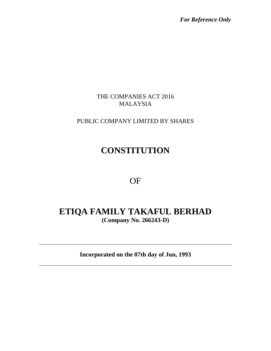*For Reference Only*

#### THE COMPANIES ACT 2016 MALAYSIA

### PUBLIC COMPANY LIMITED BY SHARES

# **CONSTITUTION**

OF

## **ETIQA FAMILY TAKAFUL BERHAD (Company No. 266243-D)**

**Incorporated on the 07th day of Jun, 1993**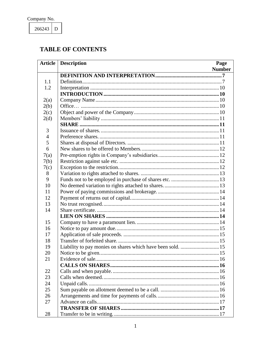$266243$  D

## **TABLE OF CONTENTS**

| <b>Article</b> | <b>Description</b><br>Page |  |
|----------------|----------------------------|--|
|                | <b>Number</b>              |  |
|                |                            |  |
| 1.1            |                            |  |
| 1.2            |                            |  |
|                |                            |  |
| 2(a)           |                            |  |
| 2(b)           |                            |  |
| 2(c)           |                            |  |
| 2(d)           |                            |  |
|                |                            |  |
| 3              |                            |  |
| $\overline{4}$ |                            |  |
| 5              |                            |  |
| 6              |                            |  |
| 7(a)           |                            |  |
| 7(b)           |                            |  |
| 7(c)           |                            |  |
| 8              |                            |  |
| 9              |                            |  |
| 10             |                            |  |
| 11             |                            |  |
| 12             |                            |  |
| 13             |                            |  |
| 14             |                            |  |
|                |                            |  |
| 15             |                            |  |
| 16             |                            |  |
| 17             |                            |  |
| 18             |                            |  |
| 19             |                            |  |
| 20             |                            |  |
| 21             |                            |  |
|                |                            |  |
| 22             |                            |  |
| 23             |                            |  |
| 24             |                            |  |
| 25             |                            |  |
| 26             |                            |  |
| 27             |                            |  |
|                |                            |  |
| 28             |                            |  |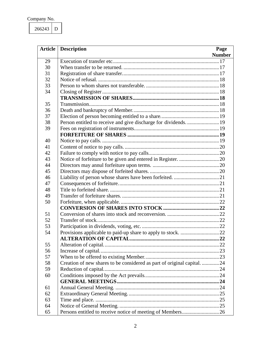266243 D

| <b>Article</b> | <b>Description</b>                                                       | Page          |
|----------------|--------------------------------------------------------------------------|---------------|
|                |                                                                          | <b>Number</b> |
| 29             |                                                                          |               |
| 30             |                                                                          |               |
| 31             |                                                                          |               |
| 32             |                                                                          |               |
| 33             |                                                                          |               |
| 34             |                                                                          |               |
|                |                                                                          |               |
| 35             |                                                                          |               |
| 36             |                                                                          |               |
| 37             |                                                                          |               |
| 38             | Person entitled to receive and give discharge for dividends.  19         |               |
| 39             |                                                                          |               |
|                |                                                                          |               |
| 40             |                                                                          |               |
| 41             |                                                                          |               |
| 42             |                                                                          |               |
| 43             |                                                                          |               |
| 44             |                                                                          |               |
| 45             |                                                                          |               |
| 46             |                                                                          |               |
| 47             |                                                                          |               |
| 48             |                                                                          |               |
| 49             |                                                                          |               |
| 50             |                                                                          |               |
|                |                                                                          |               |
| 51             |                                                                          |               |
| 52             |                                                                          |               |
| 53             |                                                                          |               |
| 54             |                                                                          |               |
|                |                                                                          |               |
| 55             |                                                                          |               |
| 56             |                                                                          |               |
| 57             |                                                                          |               |
| 58             | Creation of new shares to be considered as part of original capital.  24 |               |
| 59             |                                                                          |               |
| 60             |                                                                          |               |
|                |                                                                          |               |
| 61             |                                                                          |               |
| 62             |                                                                          |               |
| 63             |                                                                          |               |
| 64             |                                                                          |               |
| 65             | Persons entitled to receive notice of meeting of Members26               |               |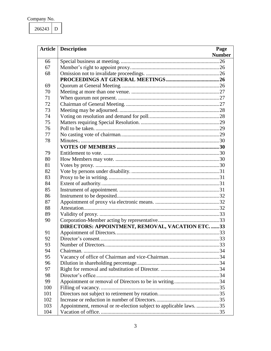266243  ${\bf D}$ 

|     | <b>Article</b>   Description<br>Page                               |
|-----|--------------------------------------------------------------------|
|     | <b>Number</b>                                                      |
| 66  |                                                                    |
| 67  |                                                                    |
| 68  |                                                                    |
|     |                                                                    |
| 69  |                                                                    |
| 70  |                                                                    |
| 71  |                                                                    |
| 72  |                                                                    |
| 73  |                                                                    |
| 74  |                                                                    |
| 75  |                                                                    |
| 76  |                                                                    |
| 77  |                                                                    |
| 78  |                                                                    |
|     |                                                                    |
| 79  |                                                                    |
| 80  |                                                                    |
| 81  |                                                                    |
| 82  |                                                                    |
| 83  |                                                                    |
| 84  |                                                                    |
| 85  |                                                                    |
| 86  |                                                                    |
| 87  |                                                                    |
| 88  |                                                                    |
| 89  |                                                                    |
| 90  |                                                                    |
|     | DIRECTORS: APPOINTMENT, REMOVAL, VACATION ETC.  33                 |
| 91  |                                                                    |
| 92  |                                                                    |
| 93  | .33                                                                |
| 94  |                                                                    |
| 95  |                                                                    |
| 96  |                                                                    |
| 97  |                                                                    |
| 98  |                                                                    |
| 99  |                                                                    |
| 100 |                                                                    |
| 101 |                                                                    |
| 102 |                                                                    |
| 103 | Appointment, removal or re-election subject to applicable laws. 35 |
| 104 |                                                                    |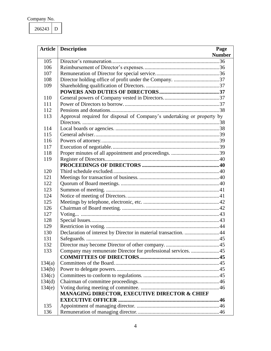266243 D

|        | <b>Article</b>   Description                                           | Page          |
|--------|------------------------------------------------------------------------|---------------|
|        |                                                                        | <b>Number</b> |
| 105    |                                                                        |               |
| 106    |                                                                        |               |
| 107    |                                                                        |               |
| 108    |                                                                        |               |
| 109    |                                                                        |               |
|        |                                                                        |               |
| 110    |                                                                        |               |
| 111    |                                                                        |               |
| 112    |                                                                        |               |
| 113    | Approval required for disposal of Company's undertaking or property by |               |
|        |                                                                        |               |
| 114    |                                                                        |               |
| 115    |                                                                        |               |
| 116    |                                                                        |               |
| 117    |                                                                        |               |
| 118    |                                                                        |               |
| 119    |                                                                        |               |
|        |                                                                        |               |
| 120    |                                                                        |               |
| 121    |                                                                        |               |
| 122    |                                                                        |               |
| 123    |                                                                        |               |
| 124    |                                                                        |               |
| 125    |                                                                        |               |
| 126    |                                                                        |               |
| 127    |                                                                        |               |
| 128    |                                                                        |               |
| 129    |                                                                        |               |
| 130    | Declaration of interest by Director in material transaction. 44        |               |
| 131    |                                                                        |               |
| 132    |                                                                        |               |
| 133    | Company may remunerate Director for professional services. 45          |               |
|        |                                                                        |               |
| 134(a) |                                                                        |               |
| 134(b) |                                                                        |               |
| 134(c) |                                                                        |               |
| 134(d) |                                                                        |               |
| 134(e) |                                                                        |               |
|        | MANAGING DIRECTOR, EXECUTIVE DIRECTOR & CHIEF                          |               |
|        |                                                                        |               |
| 135    |                                                                        |               |
| 136    |                                                                        |               |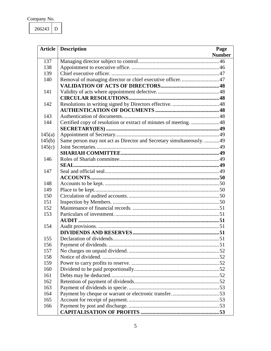266243 D

| <b>Article</b> | <b>Description</b>                                                    | Page          |
|----------------|-----------------------------------------------------------------------|---------------|
|                |                                                                       | <b>Number</b> |
| 137            |                                                                       |               |
| 138            |                                                                       |               |
| 139            |                                                                       |               |
| 140            | Removal of managing director or chief executive officer47             |               |
|                |                                                                       |               |
| 141            |                                                                       |               |
|                |                                                                       |               |
| 142            |                                                                       |               |
|                |                                                                       |               |
| 143            |                                                                       |               |
| 144            | Certified copy of resolution or extract of minutes of meeting.  48    |               |
|                |                                                                       |               |
| 145(a)         |                                                                       |               |
| 145(b)         | Same person may not act as Director and Secretary simultaneously.  49 |               |
| 145(c)         |                                                                       |               |
|                |                                                                       |               |
| 146            |                                                                       |               |
|                |                                                                       |               |
| 147            |                                                                       |               |
|                |                                                                       |               |
| 148            |                                                                       |               |
| 149            |                                                                       |               |
| 150            |                                                                       |               |
| 151            |                                                                       |               |
| 152            |                                                                       |               |
| 153            |                                                                       |               |
|                |                                                                       |               |
| 154            |                                                                       |               |
|                |                                                                       |               |
| 155            |                                                                       |               |
| 156            |                                                                       |               |
| 157            |                                                                       |               |
| 158            |                                                                       |               |
| 159            |                                                                       |               |
| 160            |                                                                       |               |
| 161            |                                                                       |               |
| 162            |                                                                       |               |
| 163            |                                                                       |               |
| 164            |                                                                       |               |
| 165            |                                                                       |               |
| 166            |                                                                       |               |
|                |                                                                       |               |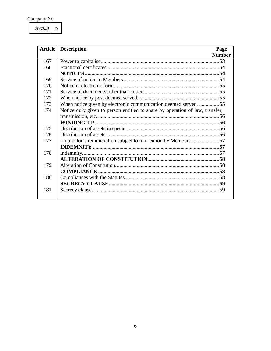266243  ${\bf D}$ 

| <b>Article</b> | <b>Description</b>                                                           | Page          |
|----------------|------------------------------------------------------------------------------|---------------|
|                |                                                                              | <b>Number</b> |
| 167            |                                                                              |               |
| 168            |                                                                              |               |
|                |                                                                              |               |
| 169            |                                                                              |               |
| 170            |                                                                              |               |
| 171            |                                                                              |               |
| 172            |                                                                              |               |
| 173            | When notice given by electronic communication deemed served. 55              |               |
| 174            | Notice duly given to person entitled to share by operation of law, transfer, |               |
|                |                                                                              |               |
|                |                                                                              |               |
| 175            |                                                                              |               |
| 176            |                                                                              |               |
| 177            | Liquidator's remuneration subject to ratification by Members57               |               |
|                |                                                                              |               |
| 178            |                                                                              |               |
|                |                                                                              |               |
| 179            |                                                                              |               |
|                |                                                                              |               |
| 180            |                                                                              |               |
|                |                                                                              |               |
| 181            |                                                                              | -59           |
|                |                                                                              |               |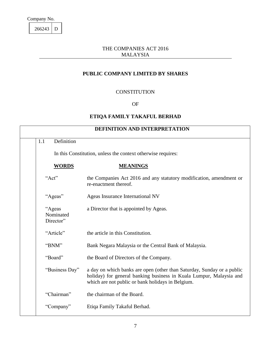266243 D

A

#### THE COMPANIES ACT 2016 MALAYSIA

#### **PUBLIC COMPANY LIMITED BY SHARES**

#### **CONSTITUTION**

#### OF

#### **ETIQA FAMILY TAKAFUL BERHAD**

<span id="page-7-1"></span><span id="page-7-0"></span>

|                                  | <b>DEFINITION AND INTERPRETATION</b>                                                                                                                                                               |
|----------------------------------|----------------------------------------------------------------------------------------------------------------------------------------------------------------------------------------------------|
| Definition<br>1.1                |                                                                                                                                                                                                    |
|                                  | In this Constitution, unless the context otherwise requires:                                                                                                                                       |
| <b>WORDS</b>                     | <b>MEANINGS</b>                                                                                                                                                                                    |
| "Act"                            | the Companies Act 2016 and any statutory modification, amendment or<br>re-enactment thereof.                                                                                                       |
| "Ageas"                          | Ageas Insurance International NV                                                                                                                                                                   |
| "Ageas<br>Nominated<br>Director" | a Director that is appointed by Ageas.                                                                                                                                                             |
| "Article"                        | the article in this Constitution.                                                                                                                                                                  |
| "BNM"                            | Bank Negara Malaysia or the Central Bank of Malaysia.                                                                                                                                              |
| "Board"                          | the Board of Directors of the Company.                                                                                                                                                             |
| "Business Day"                   | a day on which banks are open (other than Saturday, Sunday or a public<br>holiday) for general banking business in Kuala Lumpur, Malaysia and<br>which are not public or bank holidays in Belgium. |
| "Chairman"                       | the chairman of the Board.                                                                                                                                                                         |
| "Company"                        | Etiqa Family Takaful Berhad.                                                                                                                                                                       |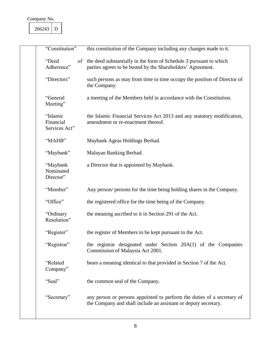| "Constitution"                         | this constitution of the Company including any changes made to it.                                                                         |
|----------------------------------------|--------------------------------------------------------------------------------------------------------------------------------------------|
| "Deed<br>Adherence"                    | of the deed substantially in the form of Schedule 3 pursuant to which<br>parties agrees to be bound by the Shareholders' Agreement.        |
| "Directors"                            | such persons as may from time to time occupy the position of Director of<br>the Company.                                                   |
| "General<br>Meeting"                   | a meeting of the Members held in accordance with the Constitution.                                                                         |
| "Islamic<br>Financial<br>Services Act" | the Islamic Financial Services Act 2013 and any statutory modification,<br>amendment or re-enactment thereof.                              |
| "MAHB"                                 | Maybank Ageas Holdings Berhad.                                                                                                             |
| "Maybank"                              | Malayan Banking Berhad.                                                                                                                    |
| "Maybank<br>Nominated<br>Director"     | a Director that is appointed by Maybank.                                                                                                   |
| "Member"                               | Any person/ persons for the time being holding shares in the Company.                                                                      |
| "Office"                               | the registered office for the time being of the Company.                                                                                   |
| "Ordinary<br>Resolution"               | the meaning ascribed to it in Section 291 of the Act.                                                                                      |
| "Register"                             | the register of Members to be kept pursuant to the Act.                                                                                    |
| "Registrar"                            | the registrar designated under Section 20A(1) of the Companies<br>Commission of Malaysia Act 2001.                                         |
| "Related<br>Company"                   | bears a meaning identical to that provided in Section 7 of the Act.                                                                        |
| "Seal"                                 | the common seal of the Company.                                                                                                            |
| "Secretary"                            | any person or persons appointed to perform the duties of a secretary of<br>the Company and shall include an assistant or deputy secretary. |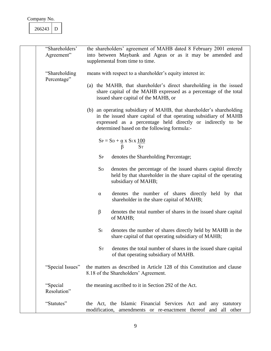| 266243 |  |
|--------|--|
|        |  |

A

٦

| "Shareholders"<br>Agreement"  | the shareholders' agreement of MAHB dated 8 February 2001 entered<br>into between Maybank and Ageas or as it may be amended and<br>supplemental from time to time.                                                                                     |
|-------------------------------|--------------------------------------------------------------------------------------------------------------------------------------------------------------------------------------------------------------------------------------------------------|
| "Shareholding"<br>Percentage" | means with respect to a shareholder's equity interest in:                                                                                                                                                                                              |
|                               | (a) the MAHB, that shareholder's direct shareholding in the issued<br>share capital of the MAHB expressed as a percentage of the total<br>issued share capital of the MAHB, or                                                                         |
|                               | (b) an operating subsidiary of MAHB, that shareholder's shareholding<br>in the issued share capital of that operating subsidiary of MAHB<br>expressed as a percentage held directly or indirectly to be<br>determined based on the following formula:- |
|                               | $S_P = S_D + \underline{\alpha} x S_I x \underline{100}$<br><b>ST</b><br>β                                                                                                                                                                             |
|                               | $S_{P}$<br>denotes the Shareholding Percentage;                                                                                                                                                                                                        |
|                               | $S_{D}$<br>denotes the percentage of the issued shares capital directly<br>held by that shareholder in the share capital of the operating<br>subsidiary of MAHB;                                                                                       |
|                               | denotes the number of shares directly held by that<br>$\alpha$<br>shareholder in the share capital of MAHB;                                                                                                                                            |
|                               | β<br>denotes the total number of shares in the issued share capital<br>of MAHB;                                                                                                                                                                        |
|                               | $S_I$<br>denotes the number of shares directly held by MAHB in the<br>share capital of that operating subsidiary of MAHB;                                                                                                                              |
|                               | $S_T$<br>denotes the total number of shares in the issued share capital<br>of that operating subsidiary of MAHB.                                                                                                                                       |
| "Special Issues"              | the matters as described in Article 128 of this Constitution and clause<br>8.18 of the Shareholders' Agreement.                                                                                                                                        |
| "Special<br>Resolution"       | the meaning ascribed to it in Section 292 of the Act.                                                                                                                                                                                                  |
| "Statutes"                    | the Act, the Islamic Financial Services Act and any statutory<br>modification, amendments or re-enactment thereof and all other                                                                                                                        |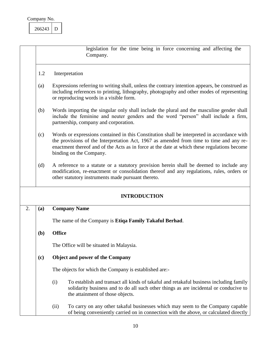

<span id="page-10-4"></span><span id="page-10-3"></span><span id="page-10-2"></span><span id="page-10-1"></span><span id="page-10-0"></span>

|    |     | legislation for the time being in force concerning and affecting the<br>Company.                                                                                                                                                                                                                                 |  |
|----|-----|------------------------------------------------------------------------------------------------------------------------------------------------------------------------------------------------------------------------------------------------------------------------------------------------------------------|--|
|    | 1.2 | Interpretation                                                                                                                                                                                                                                                                                                   |  |
|    | (a) | Expressions referring to writing shall, unless the contrary intention appears, be construed as<br>including references to printing, lithography, photography and other modes of representing<br>or reproducing words in a visible form.                                                                          |  |
|    | (b) | Words importing the singular only shall include the plural and the masculine gender shall<br>include the feminine and neuter genders and the word "person" shall include a firm,<br>partnership, company and corporation.                                                                                        |  |
|    | (c) | Words or expressions contained in this Constitution shall be interpreted in accordance with<br>the provisions of the Interpretation Act, 1967 as amended from time to time and any re-<br>enactment thereof and of the Acts as in force at the date at which these regulations become<br>binding on the Company. |  |
|    | (d) | A reference to a statute or a statutory provision herein shall be deemed to include any<br>modification, re-enactment or consolidation thereof and any regulations, rules, orders or<br>other statutory instruments made pursuant thereto.                                                                       |  |
|    |     | <b>INTRODUCTION</b>                                                                                                                                                                                                                                                                                              |  |
| 2. | (a) | <b>Company Name</b>                                                                                                                                                                                                                                                                                              |  |
|    |     | The name of the Company is Etiqa Family Takaful Berhad.                                                                                                                                                                                                                                                          |  |
|    | (b) | <b>Office</b>                                                                                                                                                                                                                                                                                                    |  |
|    |     | The Office will be situated in Malaysia.                                                                                                                                                                                                                                                                         |  |
|    | (c) | <b>Object and power of the Company</b>                                                                                                                                                                                                                                                                           |  |
|    |     | The objects for which the Company is established are:-                                                                                                                                                                                                                                                           |  |
|    |     | (i)<br>To establish and transact all kinds of takaful and retakaful business including family<br>solidarity business and to do all such other things as are incidental or conducive to<br>the attainment of those objects.                                                                                       |  |
|    |     | To carry on any other takaful businesses which may seem to the Company capable<br>(ii)<br>of being conveniently carried on in connection with the above, or calculated directly                                                                                                                                  |  |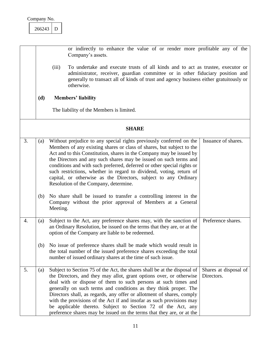<span id="page-11-4"></span><span id="page-11-3"></span><span id="page-11-2"></span><span id="page-11-1"></span><span id="page-11-0"></span>

|    |     | or indirectly to enhance the value of or render more profitable any of the<br>Company's assets.                                                                                                                                                                                                                                                                                                                                                                                                                                                                                                                        |  |
|----|-----|------------------------------------------------------------------------------------------------------------------------------------------------------------------------------------------------------------------------------------------------------------------------------------------------------------------------------------------------------------------------------------------------------------------------------------------------------------------------------------------------------------------------------------------------------------------------------------------------------------------------|--|
|    |     | (iii)<br>To undertake and execute trusts of all kinds and to act as trustee, executor or<br>administrator, receiver, guardian committee or in other fiduciary position and<br>generally to transact all of kinds of trust and agency business either gratuitously or<br>otherwise.                                                                                                                                                                                                                                                                                                                                     |  |
|    | (d) | <b>Members' liability</b>                                                                                                                                                                                                                                                                                                                                                                                                                                                                                                                                                                                              |  |
|    |     | The liability of the Members is limited.                                                                                                                                                                                                                                                                                                                                                                                                                                                                                                                                                                               |  |
|    |     | <b>SHARE</b>                                                                                                                                                                                                                                                                                                                                                                                                                                                                                                                                                                                                           |  |
| 3. | (a) | Without prejudice to any special rights previously conferred on the<br>Issuance of shares.<br>Members of any existing shares or class of shares, but subject to the<br>Act and to this Constitution, shares in the Company may be issued by<br>the Directors and any such shares may be issued on such terms and<br>conditions and with such preferred, deferred or other special rights or<br>such restrictions, whether in regard to dividend, voting, return of<br>capital, or otherwise as the Directors, subject to any Ordinary<br>Resolution of the Company, determine.                                         |  |
|    | (b) | No share shall be issued to transfer a controlling interest in the<br>Company without the prior approval of Members at a General<br>Meeting.                                                                                                                                                                                                                                                                                                                                                                                                                                                                           |  |
| 4. | (a) | Subject to the Act, any preference shares may, with the sanction of<br>Preference shares.<br>an Ordinary Resolution, be issued on the terms that they are, or at the<br>option of the Company are liable to be redeemed.                                                                                                                                                                                                                                                                                                                                                                                               |  |
|    |     | (b) No issue of preference shares shall be made which would result in<br>the total number of the issued preference shares exceeding the total<br>number of issued ordinary shares at the time of such issue.                                                                                                                                                                                                                                                                                                                                                                                                           |  |
| 5. | (a) | Subject to Section 75 of the Act, the shares shall be at the disposal of<br>Shares at disposal of<br>the Directors, and they may allot, grant options over, or otherwise<br>Directors.<br>deal with or dispose of them to such persons at such times and<br>generally on such terms and conditions as they think proper. The<br>Directors shall, as regards, any offer or allotment of shares, comply<br>with the provisions of the Act if and insofar as such provisions may<br>be applicable thereto. Subject to Section 72 of the Act, any<br>preference shares may be issued on the terms that they are, or at the |  |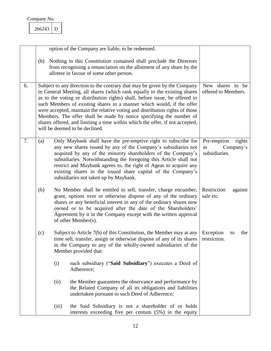<span id="page-12-1"></span><span id="page-12-0"></span>

<span id="page-12-3"></span><span id="page-12-2"></span>

|    |     |       | option of the Company are liable, to be redeemed.                                                                                                                                                                                                                                                                                                                                                                                                                                                                                                                                       |                                                           |
|----|-----|-------|-----------------------------------------------------------------------------------------------------------------------------------------------------------------------------------------------------------------------------------------------------------------------------------------------------------------------------------------------------------------------------------------------------------------------------------------------------------------------------------------------------------------------------------------------------------------------------------------|-----------------------------------------------------------|
|    | (b) |       | Nothing in this Constitution contained shall preclude the Directors<br>from recognising a renunciation on the allotment of any share by the<br>allottee in favour of some other person.                                                                                                                                                                                                                                                                                                                                                                                                 |                                                           |
| 6. |     |       | Subject to any direction to the contrary that may be given by the Company<br>in General Meeting, all shares (which rank equally to the existing shares<br>as to the voting or distribution rights) shall, before issue, be offered to<br>such Members of existing shares in a manner which would, if the offer<br>were accepted, maintain the relative voting and distribution rights of those<br>Members. The offer shall be made by notice specifying the number of<br>shares offered, and limiting a time within which the offer, if not accepted,<br>will be deemed to be declined. | New shares to be<br>offered to Members.                   |
| 7. | (a) |       | Only Maybank shall have the pre-emptive right to subscribe for<br>any new shares issued by any of the Company's subsidiaries not<br>acquired by any of the minority shareholders of the Company's<br>subsidiaries. Notwithstanding the foregoing this Article shall not<br>restrict and Maybank agrees to, the right of Ageas to acquire any<br>existing shares in the issued share capital of the Company's<br>subsidiaries not taken up by Maybank.                                                                                                                                   | Pre-emption<br>rights<br>in<br>Company's<br>subsidiaries. |
|    | (b) |       | No Member shall be entitled to sell, transfer, charge encumber,<br>grant, options over or otherwise dispose of any of the ordinary<br>shares or any beneficial interest in any of the ordinary shares now<br>owned or to be acquired after the date of the Shareholders'<br>Agreement by it in the Company except with the written approval<br>of other Member(s).                                                                                                                                                                                                                      | Restriction<br>against<br>sale etc.                       |
|    | (c) |       | Subject to Article 7(b) of this Constitution, the Member may at any<br>time sell, transfer, assign or otherwise dispose of any of its shares<br>in the Company to any of the wholly-owned subsidiaries of the<br>Member provided that:                                                                                                                                                                                                                                                                                                                                                  | Exception<br>the<br>to<br>restriction.                    |
|    |     | (i)   | such subsidiary ("Said Subsidiary") executes a Deed of<br>Adherence;                                                                                                                                                                                                                                                                                                                                                                                                                                                                                                                    |                                                           |
|    |     | (ii)  | the Member guarantees the observance and performance by<br>the Related Company of all its obligations and liabilities<br>undertaken pursuant to such Deed of Adherence;                                                                                                                                                                                                                                                                                                                                                                                                                 |                                                           |
|    |     | (iii) | the Said Subsidiary is not a shareholder of or holds<br>interests exceeding five per centum (5%) in the equity                                                                                                                                                                                                                                                                                                                                                                                                                                                                          |                                                           |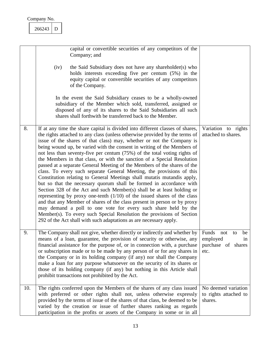#### <span id="page-13-0"></span>266243 D

<span id="page-13-2"></span><span id="page-13-1"></span>

|     | capital or convertible securities of any competitors of the<br>Company; and<br>the Said Subsidiary does not have any shareholder(s) who<br>(iv)<br>holds interests exceeding five per centum (5%) in the<br>equity capital or convertible securities of any competitors<br>of the Company.<br>In the event the Said Subsidiary ceases to be a wholly-owned<br>subsidiary of the Member which sold, transferred, assigned or<br>disposed of any of its shares to the Said Subsidiaries all such<br>shares shall forthwith be transferred back to the Member.                                                                                                                                                                                                                                                                                                                                                                                                                                                                                                                                                                                                                                                                          |                                                                       |
|-----|--------------------------------------------------------------------------------------------------------------------------------------------------------------------------------------------------------------------------------------------------------------------------------------------------------------------------------------------------------------------------------------------------------------------------------------------------------------------------------------------------------------------------------------------------------------------------------------------------------------------------------------------------------------------------------------------------------------------------------------------------------------------------------------------------------------------------------------------------------------------------------------------------------------------------------------------------------------------------------------------------------------------------------------------------------------------------------------------------------------------------------------------------------------------------------------------------------------------------------------|-----------------------------------------------------------------------|
| 8.  | If at any time the share capital is divided into different classes of shares,<br>the rights attached to any class (unless otherwise provided by the terms of<br>issue of the shares of that class) may, whether or not the Company is<br>being wound up, be varied with the consent in writing of the Members of<br>not less than seventy-five per centum (75%) of the total voting rights of<br>the Members in that class, or with the sanction of a Special Resolution<br>passed at a separate General Meeting of the Members of the shares of the<br>class. To every such separate General Meeting, the provisions of this<br>Constitution relating to General Meetings shall mutatis mutandis apply,<br>but so that the necessary quorum shall be formed in accordance with<br>Section 328 of the Act and such Member(s) shall be at least holding or<br>representing by proxy one-tenth $(1/10)$ of the issued shares of the class<br>and that any Member of shares of the class present in person or by proxy<br>may demand a poll to one vote for every such share held by the<br>Member(s). To every such Special Resolution the provisions of Section<br>292 of the Act shall with such adaptations as are necessary apply. | Variation to rights<br>attached to shares.                            |
| 9.  | The Company shall not give, whether directly or indirectly and whether by<br>means of a loan, guarantee, the provision of security or otherwise, any<br>financial assistance for the purpose of, or in connection with, a purchase<br>or subscription made or to be made by any person of or for any shares in<br>the Company or in its holding company (if any) nor shall the Company<br>make a loan for any purpose whatsoever on the security of its shares or<br>those of its holding company (if any) but nothing in this Article shall<br>prohibit transactions not prohibited by the Act.                                                                                                                                                                                                                                                                                                                                                                                                                                                                                                                                                                                                                                     | Funds not<br>be<br>to<br>employed<br>in<br>purchase of shares<br>etc. |
| 10. | The rights conferred upon the Members of the shares of any class issued<br>with preferred or other rights shall not, unless otherwise expressly<br>provided by the terms of issue of the shares of that class, be deemed to be<br>varied by the creation or issue of further shares ranking as regards<br>participation in the profits or assets of the Company in some or in all                                                                                                                                                                                                                                                                                                                                                                                                                                                                                                                                                                                                                                                                                                                                                                                                                                                    | No deemed variation<br>to rights attached to<br>shares.               |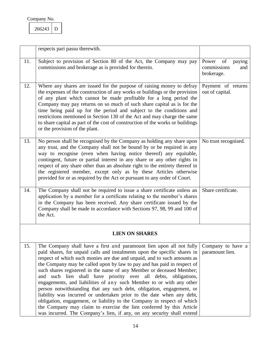<span id="page-14-2"></span><span id="page-14-1"></span><span id="page-14-0"></span>266243 D

<span id="page-14-5"></span><span id="page-14-4"></span><span id="page-14-3"></span>

|     | respects pari passu therewith.                                                                                                                                                                                                                                                                                                                                                                                                                                                                                                                                                                                                                                                                                                                                                                                                                                                                              |                                                           |
|-----|-------------------------------------------------------------------------------------------------------------------------------------------------------------------------------------------------------------------------------------------------------------------------------------------------------------------------------------------------------------------------------------------------------------------------------------------------------------------------------------------------------------------------------------------------------------------------------------------------------------------------------------------------------------------------------------------------------------------------------------------------------------------------------------------------------------------------------------------------------------------------------------------------------------|-----------------------------------------------------------|
| 11. | Subject to provision of Section 80 of the Act, the Company may pay<br>commissions and brokerage as is provided for therein.                                                                                                                                                                                                                                                                                                                                                                                                                                                                                                                                                                                                                                                                                                                                                                                 | Power<br>of<br>paying<br>commissions<br>and<br>brokerage. |
| 12. | Where any shares are issued for the purpose of raising money to defray<br>the expenses of the construction of any works or buildings or the provision<br>of any plant which cannot be made profitable for a long period the<br>Company may pay returns on so much of such share capital as is for the<br>time being paid up for the period and subject to the conditions and<br>restrictions mentioned in Section 130 of the Act and may charge the same<br>to share capital as part of the cost of construction of the works or buildings<br>or the provision of the plant.                                                                                                                                                                                                                                                                                                                                | Payment of returns<br>out of capital.                     |
| 13. | No person shall be recognised by the Company as holding any share upon<br>any trust, and the Company shall not be bound by or be required in any<br>way to recognise (even when having notice thereof) any equitable,<br>contingent, future or partial interest in any share or any other rights in<br>respect of any share other than an absolute right to the entirety thereof in<br>the registered member, except only as by these Articles otherwise<br>provided for or as required by the Act or pursuant to any order of Court.                                                                                                                                                                                                                                                                                                                                                                       | No trust recognised.                                      |
| 14. | The Company shall not be required to issue a share certificate unless an<br>application by a member for a certificate relating to the member's shares<br>in the Company has been received. Any share certificate issued by the<br>Company shall be made in accordance with Sections 97, 98, 99 and 100 of<br>the Act.                                                                                                                                                                                                                                                                                                                                                                                                                                                                                                                                                                                       | Share certificate.                                        |
|     | <b>LIEN ON SHARES</b>                                                                                                                                                                                                                                                                                                                                                                                                                                                                                                                                                                                                                                                                                                                                                                                                                                                                                       |                                                           |
| 15. | The Company shall have a first and paramount lien upon all not fully<br>paid shares, for unpaid calls and instalments upon the specific shares in<br>respect of which such monies are due and unpaid, and to such amounts as<br>the Company may be called upon by law to pay and has paid in respect of<br>such shares registered in the name of any Member or deceased Member;<br>such lien shall have priority over all debts, obligations,<br>and<br>engagements, and liabilities of any such Member to or with any other<br>person notwithstanding that any such debt, obligation, engagement, or<br>liability was incurred or undertaken prior to the date when any debt,<br>obligation, engagement, or liability to the Company in respect of which<br>the Company may claim to exercise the lien conferred by this Article<br>was incurred. The Company's lien, if any, on any security shall extend | Company to have a<br>paramount lien.                      |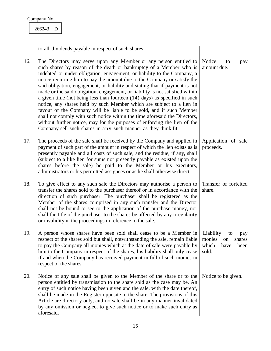<span id="page-15-1"></span><span id="page-15-0"></span>266243 D

<span id="page-15-4"></span><span id="page-15-3"></span><span id="page-15-2"></span>

|     | to all dividends payable in respect of such shares.                                                                                                                                                                                                                                                                                                                                                                                                                                                                                                                                                                                                                                                                                                                                                                                                                                                                            |                                                                                    |
|-----|--------------------------------------------------------------------------------------------------------------------------------------------------------------------------------------------------------------------------------------------------------------------------------------------------------------------------------------------------------------------------------------------------------------------------------------------------------------------------------------------------------------------------------------------------------------------------------------------------------------------------------------------------------------------------------------------------------------------------------------------------------------------------------------------------------------------------------------------------------------------------------------------------------------------------------|------------------------------------------------------------------------------------|
| 16. | The Directors may serve upon any Member or any person entitled to<br>such shares by reason of the death or bankruptcy of a Member who is<br>indebted or under obligation, engagement, or liability to the Company, a<br>notice requiring him to pay the amount due to the Company or satisfy the<br>said obligation, engagement, or liability and stating that if payment is not<br>made or the said obligation, engagement, or liability is not satisfied within<br>a given time (not being less than fourteen $(14)$ days) as specified in such<br>notice, any shares held by such Member which are subject to a lien in<br>favour of the Company will be liable to be sold, and if such Member<br>shall not comply with such notice within the time aforesaid the Directors,<br>without further notice, may for the purposes of enforcing the lien of the<br>Company sell such shares in any such manner as they think fit. | Notice<br>to<br>pay<br>amount due.                                                 |
| 17. | The proceeds of the sale shall be received by the Company and applied in<br>payment of such part of the amount in respect of which the lien exists as is<br>presently payable and all costs of such sale, and the residue, if any, shall<br>(subject to a like lien for sums not presently payable as existed upon the<br>shares before the sale) be paid to the Member or his executors,<br>administrators or his permitted assignees or as he shall otherwise direct.                                                                                                                                                                                                                                                                                                                                                                                                                                                        | Application of sale<br>proceeds.                                                   |
| 18. | To give effect to any such sale the Directors may authorise a person to<br>transfer the shares sold to the purchaser thereof or in accordance with the<br>direction of such purchaser. The purchaser shall be registered as the<br>Member of the shares comprised in any such transfer and the Director<br>shall not be bound to see to the application of the purchase money, nor<br>shall the title of the purchaser to the shares be affected by any irregularity<br>or invalidity in the proceedings in reference to the sale.                                                                                                                                                                                                                                                                                                                                                                                             | Transfer of forfeited<br>share.                                                    |
| 19. | A person whose shares have been sold shall cease to be a Member in<br>respect of the shares sold but shall, notwithstanding the sale, remain liable<br>to pay the Company all monies which at the date of sale were payable by<br>him to the Company in respect of the shares; his liability shall only cease<br>if and when the Company has received payment in full of such monies in<br>respect of the shares.                                                                                                                                                                                                                                                                                                                                                                                                                                                                                                              | Liability<br>to<br>pay<br>monies<br>shares<br>on<br>which<br>have<br>been<br>sold. |
| 20. | Notice of any sale shall be given to the Member of the share or to the<br>person entitled by transmission to the share sold as the case may be. An<br>entry of such notice having been given and the sale, with the date thereof,<br>shall be made in the Register opposite to the share. The provisions of this<br>Article are directory only, and no sale shall be in any manner invalidated<br>by any omission or neglect to give such notice or to make such entry as<br>aforesaid.                                                                                                                                                                                                                                                                                                                                                                                                                                        | Notice to be given.                                                                |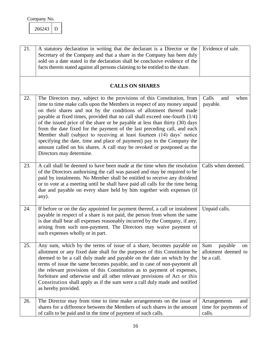<span id="page-16-2"></span><span id="page-16-0"></span>266243 D

<span id="page-16-6"></span><span id="page-16-5"></span><span id="page-16-4"></span><span id="page-16-3"></span><span id="page-16-1"></span>

| 21. | A statutory declaration in writing that the declarant is a Director or the<br>Secretary of the Company and that a share in the Company has been duly<br>sold on a date stated in the declaration shall be conclusive evidence of the<br>facts therein stated against all persons claiming to be entitled to the share.                                                                                                                                                                                                                                                                                                                                                                                                         | Evidence of sale.                                         |
|-----|--------------------------------------------------------------------------------------------------------------------------------------------------------------------------------------------------------------------------------------------------------------------------------------------------------------------------------------------------------------------------------------------------------------------------------------------------------------------------------------------------------------------------------------------------------------------------------------------------------------------------------------------------------------------------------------------------------------------------------|-----------------------------------------------------------|
|     | <b>CALLS ON SHARES</b>                                                                                                                                                                                                                                                                                                                                                                                                                                                                                                                                                                                                                                                                                                         |                                                           |
| 22. | The Directors may, subject to the provisions of this Constitution, from<br>time to time make calls upon the Members in respect of any money unpaid<br>on their shares and not by the conditions of allotment thereof made<br>payable at fixed times, provided that no call shall exceed one-fourth (1/4)<br>of the issued price of the share or be payable at less than thirty (30) days<br>from the date fixed for the payment of the last preceding call, and each<br>Member shall (subject to receiving at least fourteen (14) days' notice<br>specifying the date, time and place of payment) pay to the Company the<br>amount called on his shares. A call may be revoked or postponed as the<br>Directors may determine. | Calls<br>and<br>when<br>payable.                          |
| 23. | A call shall be deemed to have been made at the time when the resolution<br>of the Directors authorising the call was passed and may be required to be<br>paid by instalments. No Member shall be entitled to receive any dividend<br>or to vote at a meeting until he shall have paid all calls for the time being<br>due and payable on every share held by him together with expenses (if<br>any).                                                                                                                                                                                                                                                                                                                          | Calls when deemed.                                        |
| 24. | If before or on the day appointed for payment thereof, a call or instalment<br>payable in respect of a share is not paid, the person from whom the same<br>is due shall bear all expenses reasonably incurred by the Company, if any,<br>arising from such non-payment. The Directors may waive payment of<br>such expenses wholly or in part.                                                                                                                                                                                                                                                                                                                                                                                 | Unpaid calls.                                             |
| 25. | Any sum, which by the terms of issue of a share, becomes payable on<br>allotment or any fixed date shall for the purposes of this Constitution be<br>deemed to be a call duly made and payable on the date on which by the<br>terms of issue the same becomes payable, and in case of non-payment all<br>the relevant provisions of this Constitution as to payment of expenses,<br>forfeiture and otherwise and all other relevant provisions of Act or this<br>Constitution shall apply as if the sum were a call duly made and notified<br>as hereby provided.                                                                                                                                                              | payable<br>Sum<br>on<br>allotment deemed to<br>be a call. |
| 26. | The Director may from time to time make arrangements on the issue of<br>shares for a difference between the Members of such shares in the amount<br>of calls to be paid and in the time of payment of such calls.                                                                                                                                                                                                                                                                                                                                                                                                                                                                                                              | Arrangements<br>and<br>time for payments of<br>calls.     |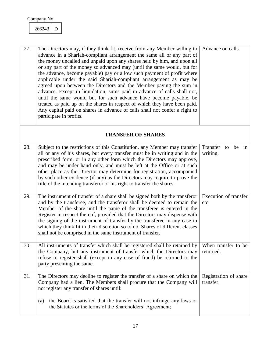<span id="page-17-2"></span><span id="page-17-0"></span>266243 D

<span id="page-17-5"></span><span id="page-17-4"></span><span id="page-17-3"></span><span id="page-17-1"></span>

| 27. | The Directors may, if they think fit, receive from any Member willing to<br>advance in a Shariah-compliant arrangement the same all or any part of<br>the money uncalled and unpaid upon any shares held by him, and upon all<br>or any part of the money so advanced may (until the same would, but for<br>the advance, become payable) pay or allow such payment of profit where<br>applicable under the said Shariah-compliant arrangement as may be<br>agreed upon between the Directors and the Member paying the sum in<br>advance. Except in liquidation, sums paid in advance of calls shall not,<br>until the same would but for such advance have become payable, be<br>treated as paid up on the shares in respect of which they have been paid.<br>Any capital paid on shares in advance of calls shall not confer a right to<br>participate in profits. | Advance on calls.                  |
|-----|----------------------------------------------------------------------------------------------------------------------------------------------------------------------------------------------------------------------------------------------------------------------------------------------------------------------------------------------------------------------------------------------------------------------------------------------------------------------------------------------------------------------------------------------------------------------------------------------------------------------------------------------------------------------------------------------------------------------------------------------------------------------------------------------------------------------------------------------------------------------|------------------------------------|
|     | <b>TRANSFER OF SHARES</b>                                                                                                                                                                                                                                                                                                                                                                                                                                                                                                                                                                                                                                                                                                                                                                                                                                            |                                    |
| 28. | Subject to the restrictions of this Constitution, any Member may transfer<br>all or any of his shares, but every transfer must be in writing and in the<br>prescribed form, or in any other form which the Directors may approve,<br>and may be under hand only, and must be left at the Office or at such<br>other place as the Director may determine for registration, accompanied<br>by such other evidence (if any) as the Directors may require to prove the<br>title of the intending transferor or his right to transfer the shares.                                                                                                                                                                                                                                                                                                                         | Transfer to be in<br>writing.      |
| 29. | The instrument of transfer of a share shall be signed both by the transferor<br>and by the transferee, and the transferor shall be deemed to remain the<br>Member of the share until the name of the transferee is entered in the<br>Register in respect thereof, provided that the Directors may dispense with<br>the signing of the instrument of transfer by the transferee in any case in<br>which they think fit in their discretion so to do. Shares of different classes<br>shall not be comprised in the same instrument of transfer.                                                                                                                                                                                                                                                                                                                        | Execution of transfer<br>etc.      |
| 30. | All instruments of transfer which shall be registered shall be retained by<br>the Company, but any instrument of transfer which the Directors may<br>refuse to register shall (except in any case of fraud) be returned to the<br>party presenting the same.                                                                                                                                                                                                                                                                                                                                                                                                                                                                                                                                                                                                         | When transfer to be<br>returned.   |
| 31. | The Directors may decline to register the transfer of a share on which the<br>Company had a lien. The Members shall procure that the Company will<br>not register any transfer of shares until:<br>the Board is satisfied that the transfer will not infringe any laws or<br>(a)<br>the Statutes or the terms of the Shareholders' Agreement;                                                                                                                                                                                                                                                                                                                                                                                                                                                                                                                        | Registration of share<br>transfer. |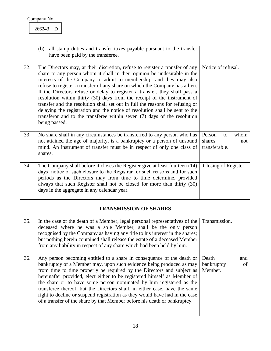<span id="page-18-2"></span><span id="page-18-1"></span><span id="page-18-0"></span>266243 D

<span id="page-18-5"></span><span id="page-18-4"></span><span id="page-18-3"></span>

|     | all stamp duties and transfer taxes payable pursuant to the transfer<br>(b)<br>have been paid by the transferee.                                                                                                                                                                                                                                                                                                                                                                                                                                                                                                                                                                                                                       |                                                        |
|-----|----------------------------------------------------------------------------------------------------------------------------------------------------------------------------------------------------------------------------------------------------------------------------------------------------------------------------------------------------------------------------------------------------------------------------------------------------------------------------------------------------------------------------------------------------------------------------------------------------------------------------------------------------------------------------------------------------------------------------------------|--------------------------------------------------------|
| 32. | The Directors may, at their discretion, refuse to register a transfer of any<br>share to any person whom it shall in their opinion be undesirable in the<br>interests of the Company to admit to membership, and they may also<br>refuse to register a transfer of any share on which the Company has a lien.<br>If the Directors refuse or delay to register a transfer, they shall pass a<br>resolution within thirty (30) days from the receipt of the instrument of<br>transfer and the resolution shall set out in full the reasons for refusing or<br>delaying the registration and the notice of resolution shall be sent to the<br>transferor and to the transferee within seven $(7)$ days of the resolution<br>being passed. | Notice of refusal.                                     |
| 33. | No share shall in any circumstances be transferred to any person who has<br>not attained the age of majority, is a bankruptcy or a person of unsound<br>mind. An instrument of transfer must be in respect of only one class of<br>shares.                                                                                                                                                                                                                                                                                                                                                                                                                                                                                             | Person<br>whom<br>to<br>shares<br>not<br>transferable. |
| 34. | The Company shall before it closes the Register give at least fourteen (14)<br>days' notice of such closure to the Registrar for such reasons and for such<br>periods as the Directors may from time to time determine, provided<br>always that such Register shall not be closed for more than thirty (30)<br>days in the aggregate in any calendar year.                                                                                                                                                                                                                                                                                                                                                                             | Closing of Register                                    |
|     | <b>TRANSMISSION OF SHARES</b>                                                                                                                                                                                                                                                                                                                                                                                                                                                                                                                                                                                                                                                                                                          |                                                        |
| 35. | In the case of the death of a Member, legal personal representatives of the<br>deceased where he was a sole Member, shall be the only person<br>recognised by the Company as having any title to his interest in the shares;<br>but nothing herein contained shall release the estate of a deceased Member<br>from any liability in respect of any share which had been held by him.                                                                                                                                                                                                                                                                                                                                                   | Transmission.                                          |
| 36. | Any person becoming entitled to a share in consequence of the death or<br>bankruptcy of a Member may, upon such evidence being produced as may<br>from time to time properly be required by the Directors and subject as<br>hereinafter provided, elect either to be registered himself as Member of<br>the share or to have some person nominated by him registered as the<br>transferee thereof, but the Directors shall, in either case, have the same<br>right to decline or suspend registration as they would have had in the case<br>of a transfer of the share by that Member before his death or bankruptcy.                                                                                                                  | Death<br>and<br>bankruptcy<br>of<br>Member.            |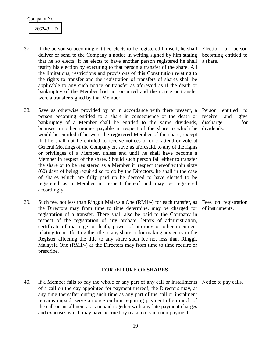<span id="page-19-1"></span><span id="page-19-0"></span>266243 D

<span id="page-19-4"></span><span id="page-19-3"></span><span id="page-19-2"></span>

| 37. | If the person so becoming entitled elects to be registered himself, he shall<br>deliver or send to the Company a notice in writing signed by him stating<br>that he so elects. If he elects to have another person registered he shall<br>testify his election by executing to that person a transfer of the share. All<br>the limitations, restrictions and provisions of this Constitution relating to<br>the rights to transfer and the registration of transfers of shares shall be<br>applicable to any such notice or transfer as aforesaid as if the death or<br>bankruptcy of the Member had not occurred and the notice or transfer<br>were a transfer signed by that Member.                                                                                                                                                                                                                                                                                                                 | Election of person<br>becoming entitled to<br>a share.                               |
|-----|--------------------------------------------------------------------------------------------------------------------------------------------------------------------------------------------------------------------------------------------------------------------------------------------------------------------------------------------------------------------------------------------------------------------------------------------------------------------------------------------------------------------------------------------------------------------------------------------------------------------------------------------------------------------------------------------------------------------------------------------------------------------------------------------------------------------------------------------------------------------------------------------------------------------------------------------------------------------------------------------------------|--------------------------------------------------------------------------------------|
| 38. | Save as otherwise provided by or in accordance with there present, a<br>person becoming entitled to a share in consequence of the death or<br>bankruptcy of a Member shall be entitled to the same dividends,<br>bonuses, or other monies payable in respect of the share to which he<br>would be entitled if he were the registered Member of the share, except<br>that he shall not be entitled to receive notices of or to attend or vote at<br>General Meetings of the Company or, save as aforesaid, to any of the rights<br>or privileges of a Member, unless and until he shall have become a<br>Member in respect of the share. Should such person fail either to transfer<br>the share or to be registered as a Member in respect thereof within sixty<br>(60) days of being required so to do by the Directors, he shall in the case<br>of shares which are fully paid up be deemed to have elected to be<br>registered as a Member in respect thereof and may be registered<br>accordingly. | Person<br>entitled<br>to<br>receive<br>and<br>give<br>discharge<br>for<br>dividends. |
| 39. | Such fee, not less than Ringgit Malaysia One (RM1/-) for each transfer, as<br>the Directors may from time to time determine, may be charged for<br>registration of a transfer. There shall also be paid to the Company in<br>respect of the registration of any probate, letters of administration,<br>certificate of marriage or death, power of attorney or other document<br>relating to or affecting the title to any share or for making any entry in the<br>Register affecting the title to any share such fee not less than Ringgit<br>Malaysia One (RM1/-) as the Directors may from time to time require or<br>prescribe.                                                                                                                                                                                                                                                                                                                                                                     | Fees on registration<br>of instruments.                                              |
|     | <b>FORFEITURE OF SHARES</b>                                                                                                                                                                                                                                                                                                                                                                                                                                                                                                                                                                                                                                                                                                                                                                                                                                                                                                                                                                            |                                                                                      |
| 40. | If a Member fails to pay the whole or any part of any call or installments<br>of a call on the day appointed for payment thereof, the Directors may, at<br>any time thereafter during such time as any part of the call or instalment<br>remains unpaid, serve a notice on him requiring payment of so much of<br>the call or installment as is unpaid together with any late payment charges<br>and expenses which may have accrued by reason of such non-payment.                                                                                                                                                                                                                                                                                                                                                                                                                                                                                                                                    | Notice to pay calls.                                                                 |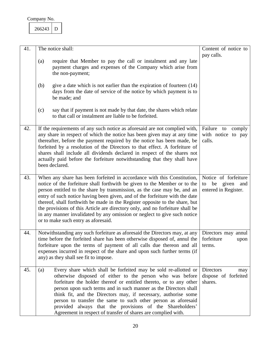<span id="page-20-1"></span><span id="page-20-0"></span>266243 D

<span id="page-20-4"></span><span id="page-20-3"></span><span id="page-20-2"></span>

| 41. | The notice shall:                                                                                                                                                                                                                                                                                                                                                                                                                                                                                                                                                                                  | Content of notice to                                                     |
|-----|----------------------------------------------------------------------------------------------------------------------------------------------------------------------------------------------------------------------------------------------------------------------------------------------------------------------------------------------------------------------------------------------------------------------------------------------------------------------------------------------------------------------------------------------------------------------------------------------------|--------------------------------------------------------------------------|
|     | require that Member to pay the call or instalment and any late<br>(a)<br>payment charges and expenses of the Company which arise from<br>the non-payment;                                                                                                                                                                                                                                                                                                                                                                                                                                          | pay calls.                                                               |
|     | give a date which is not earlier than the expiration of fourteen $(14)$<br>(b)<br>days from the date of service of the notice by which payment is to<br>be made; and                                                                                                                                                                                                                                                                                                                                                                                                                               |                                                                          |
|     | say that if payment is not made by that date, the shares which relate<br>(c)<br>to that call or instalment are liable to be forfeited.                                                                                                                                                                                                                                                                                                                                                                                                                                                             |                                                                          |
| 42. | If the requirements of any such notice as aforesaid are not complied with,<br>any share in respect of which the notice has been given may at any time<br>thereafter, before the payment required by the notice has been made, be<br>forfeited by a resolution of the Directors to that effect. A forfeiture of<br>shares shall include all dividends declared in respect of the shares not<br>actually paid before the forfeiture notwithstanding that they shall have<br>been declared.                                                                                                           | Failure to<br>comply<br>with notice to pay<br>calls.                     |
| 43. | When any share has been forfeited in accordance with this Constitution,<br>notice of the forfeiture shall forthwith be given to the Member or to the<br>person entitled to the share by transmission, as the case may be, and an<br>entry of such notice having been given, and of the forfeiture with the date<br>thereof, shall forthwith be made in the Register opposite to the share, but<br>the provisions of this Article are directory only, and no forfeiture shall be<br>in any manner invalidated by any omission or neglect to give such notice<br>or to make such entry as aforesaid. | Notice of forfeiture<br>be<br>given<br>and<br>to<br>entered in Register. |
| 44. | Notwithstanding any such forfeiture as aforesaid the Directors may, at any<br>time before the forfeited share has been otherwise disposed of, annul the<br>forfeiture upon the terms of payment of all calls due thereon and all<br>expenses incurred in respect of the share and upon such further terms (if<br>any) as they shall see fit to impose.                                                                                                                                                                                                                                             | Directors may annul<br>forfeiture<br>upon<br>terms.                      |
| 45. | Every share which shall be forfeited may be sold re-allotted or<br>(a)<br>otherwise disposed of either to the person who was before<br>forfeiture the holder thereof or entitled thereto, or to any other<br>person upon such terms and in such manner as the Directors shall<br>think fit, and the Directors may, if necessary, authorise some<br>person to transfer the same to such other person as aforesaid<br>provided always that the provisions of the Shareholders'<br>Agreement in respect of transfer of shares are complied with.                                                      | <b>Directors</b><br>may<br>dispose of forfeited<br>shares.               |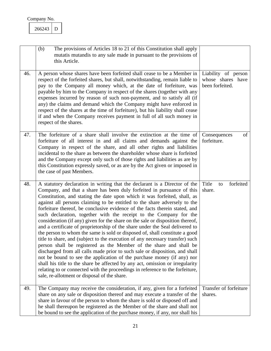<span id="page-21-3"></span><span id="page-21-2"></span><span id="page-21-1"></span><span id="page-21-0"></span>

|     | The provisions of Articles 18 to 21 of this Constitution shall apply<br>(b)<br>mutatis mutandis to any sale made in pursuant to the provisions of<br>this Article.                                                                                                                                                                                                                                                                                                                                                                                                                                                                                                                                                                                                                                                                                                                                                                                                                                                                                                                                                                                                                                                                                     |                                                             |
|-----|--------------------------------------------------------------------------------------------------------------------------------------------------------------------------------------------------------------------------------------------------------------------------------------------------------------------------------------------------------------------------------------------------------------------------------------------------------------------------------------------------------------------------------------------------------------------------------------------------------------------------------------------------------------------------------------------------------------------------------------------------------------------------------------------------------------------------------------------------------------------------------------------------------------------------------------------------------------------------------------------------------------------------------------------------------------------------------------------------------------------------------------------------------------------------------------------------------------------------------------------------------|-------------------------------------------------------------|
| 46. | A person whose shares have been forfeited shall cease to be a Member in<br>respect of the forfeited shares, but shall, notwithstanding, remain liable to<br>pay to the Company all money which, at the date of forfeiture, was<br>payable by him to the Company in respect of the shares (together with any<br>expenses incurred by reason of such non-payment, and to satisfy all (if<br>any) the claims and demand which the Company might have enforced in<br>respect of the shares at the time of forfeiture), but his liability shall cease<br>if and when the Company receives payment in full of all such money in<br>respect of the shares.                                                                                                                                                                                                                                                                                                                                                                                                                                                                                                                                                                                                    | Liability of person<br>whose shares have<br>been forfeited. |
| 47. | The forfeiture of a share shall involve the extinction at the time of<br>forfeiture of all interest in and all claims and demands against the<br>Company in respect of the share, and all other rights and liabilities<br>incidental to the share as between the shareholder whose share is forfeited<br>and the Company except only such of those rights and liabilities as are by<br>this Constitution expressly saved, or as are by the Act given or imposed in<br>the case of past Members.                                                                                                                                                                                                                                                                                                                                                                                                                                                                                                                                                                                                                                                                                                                                                        | of<br>Consequences<br>forfeiture.                           |
| 48. | A statutory declaration in writing that the declarant is a Director of the<br>Company, and that a share has been duly forfeited in pursuance of this<br>Constitution, and stating the date upon which it was forfeited, shall, as<br>against all persons claiming to be entitled to the share adversely to the<br>forfeiture thereof, be conclusive evidence of the facts therein stated, and<br>such declaration, together with the receipt to the Company for the<br>consideration (if any) given for the share on the sale or disposition thereof,<br>and a certificate of proprietorship of the share under the Seal delivered to<br>the person to whom the same is sold or disposed of, shall constitute a good<br>title to share, and (subject to the execution of any necessary transfer) such<br>person shall be registered as the Member of the share and shall be<br>discharged from all calls made prior to such sale or disposition, and shall<br>not be bound to see the application of the purchase money (if any) nor<br>shall his title to the share be affected by any act, omission or irregularity<br>relating to or connected with the proceedings in reference to the forfeiture,<br>sale, re-allotment or disposal of the share. | Title<br>forfeited<br>to<br>share.                          |
| 49. | The Company may receive the consideration, if any, given for a forfeited<br>share on any sale or disposition thereof and may execute a transfer of the<br>share in favour of the person to whom the share is sold or disposed off and<br>he shall thereupon be registered as the Member of the share and shall not<br>be bound to see the application of the purchase money, if any, nor shall his                                                                                                                                                                                                                                                                                                                                                                                                                                                                                                                                                                                                                                                                                                                                                                                                                                                     | Transfer of forfeiture<br>shares.                           |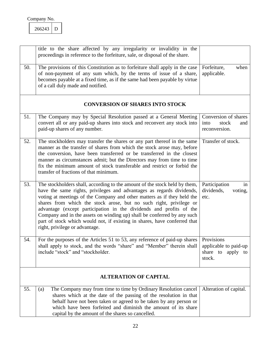<span id="page-22-3"></span><span id="page-22-2"></span><span id="page-22-0"></span>266243 D

<span id="page-22-7"></span><span id="page-22-6"></span><span id="page-22-5"></span><span id="page-22-4"></span><span id="page-22-1"></span>

|     | title to the share affected by any irregularity or invalidity in the<br>proceedings in reference to the forfeiture, sale, or disposal of the share.                                                                                                                                                                                                                                                                                                                                                                                                                   |                                                                    |
|-----|-----------------------------------------------------------------------------------------------------------------------------------------------------------------------------------------------------------------------------------------------------------------------------------------------------------------------------------------------------------------------------------------------------------------------------------------------------------------------------------------------------------------------------------------------------------------------|--------------------------------------------------------------------|
| 50. | The provisions of this Constitution as to forfeiture shall apply in the case<br>of non-payment of any sum which, by the terms of issue of a share,<br>becomes payable at a fixed time, as if the same had been payable by virtue<br>of a call duly made and notified.                                                                                                                                                                                                                                                                                                 | when<br>Forfeiture,<br>applicable.                                 |
|     | <b>CONVERSION OF SHARES INTO STOCK</b>                                                                                                                                                                                                                                                                                                                                                                                                                                                                                                                                |                                                                    |
| 51. | The Company may by Special Resolution passed at a General Meeting<br>convert all or any paid-up shares into stock and reconvert any stock into<br>paid-up shares of any number.                                                                                                                                                                                                                                                                                                                                                                                       | Conversion of shares<br>into<br>stock<br>and<br>reconversion.      |
| 52. | The stockholders may transfer the shares or any part thereof in the same<br>manner as the transfer of shares from which the stock arose may, before<br>the conversion, have been transferred or be transferred in the closest<br>manner as circumstances admit; but the Directors may from time to time<br>fix the minimum amount of stock transferable and restrict or forbid the<br>transfer of fractions of that minimum.                                                                                                                                          | Transfer of stock.                                                 |
| 53. | The stockholders shall, according to the amount of the stock held by them,<br>have the same rights, privileges and advantages as regards dividends,<br>voting at meetings of the Company and other matters as if they held the<br>shares from which the stock arose, but no such right, privilege or<br>advantage (except participation in the dividends and profits of the<br>Company and in the assets on winding up) shall be conferred by any such<br>part of stock which would not, if existing in shares, have conferred that<br>right, privilege or advantage. | Participation<br>in<br>dividends,<br>voting,<br>etc.               |
| 54. | For the purposes of the Articles 51 to 53, any reference of paid-up shares  <br>shall apply to stock, and the words "share" and "Member" therein shall<br>include "stock" and "stockholder.                                                                                                                                                                                                                                                                                                                                                                           | Provisions<br>applicable to paid-up<br>share to apply to<br>stock. |
|     | <b>ALTERATION OF CAPITAL</b>                                                                                                                                                                                                                                                                                                                                                                                                                                                                                                                                          |                                                                    |
| 55. | The Company may from time to time by Ordinary Resolution cancel<br>(a)<br>shares which at the date of the passing of the resolution in that<br>behalf have not been taken or agreed to be taken by any person or<br>which have been forfeited and diminish the amount of its share<br>capital by the amount of the shares so cancelled.                                                                                                                                                                                                                               | Alteration of capital.                                             |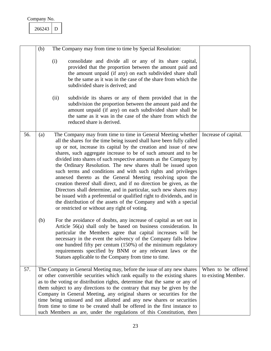<span id="page-23-1"></span><span id="page-23-0"></span>

|     | (b) |                                                                                                                                                                                                                                                                                                                                                                                                                                                                                                                                                                                                                                                                                                                                                                                                                                                                                         | The Company may from time to time by Special Resolution:                                                                                                                                                                                                                                                                                                                                                                                                                                                                                   |                      |
|-----|-----|-----------------------------------------------------------------------------------------------------------------------------------------------------------------------------------------------------------------------------------------------------------------------------------------------------------------------------------------------------------------------------------------------------------------------------------------------------------------------------------------------------------------------------------------------------------------------------------------------------------------------------------------------------------------------------------------------------------------------------------------------------------------------------------------------------------------------------------------------------------------------------------------|--------------------------------------------------------------------------------------------------------------------------------------------------------------------------------------------------------------------------------------------------------------------------------------------------------------------------------------------------------------------------------------------------------------------------------------------------------------------------------------------------------------------------------------------|----------------------|
|     |     | (i)                                                                                                                                                                                                                                                                                                                                                                                                                                                                                                                                                                                                                                                                                                                                                                                                                                                                                     | consolidate and divide all or any of its share capital,<br>provided that the proportion between the amount paid and<br>the amount unpaid (if any) on each subdivided share shall<br>be the same as it was in the case of the share from which the<br>subdivided share is derived; and                                                                                                                                                                                                                                                      |                      |
|     |     | (ii)                                                                                                                                                                                                                                                                                                                                                                                                                                                                                                                                                                                                                                                                                                                                                                                                                                                                                    | subdivide its shares or any of them provided that in the<br>subdivision the proportion between the amount paid and the<br>amount unpaid (if any) on each subdivided share shall be<br>the same as it was in the case of the share from which the<br>reduced share is derived.                                                                                                                                                                                                                                                              |                      |
| 56. | (a) | The Company may from time to time in General Meeting whether<br>all the shares for the time being issued shall have been fully called<br>up or not, increase its capital by the creation and issue of new<br>shares, such aggregate increase to be of such amount and to be<br>divided into shares of such respective amounts as the Company by<br>the Ordinary Resolution. The new shares shall be issued upon<br>such terms and conditions and with such rights and privileges<br>annexed thereto as the General Meeting resolving upon the<br>creation thereof shall direct, and if no direction be given, as the<br>Directors shall determine, and in particular, such new shares may<br>be issued with a preferential or qualified right to dividends, and in<br>the distribution of the assets of the Company and with a special<br>or restricted or without any right of voting. |                                                                                                                                                                                                                                                                                                                                                                                                                                                                                                                                            | Increase of capital. |
|     | (b) |                                                                                                                                                                                                                                                                                                                                                                                                                                                                                                                                                                                                                                                                                                                                                                                                                                                                                         | For the avoidance of doubts, any increase of capital as set out in<br>Article 56(a) shall only be based on business consideration. In<br>particular the Members agree that capital increases will be<br>necessary in the event the solvency of the Company falls below<br>one hundred fifty per centum (150%) of the minimum regulatory<br>requirements specified by BNM or any relevant laws or the<br>Statues applicable to the Company from time to time.                                                                               |                      |
| 57. |     |                                                                                                                                                                                                                                                                                                                                                                                                                                                                                                                                                                                                                                                                                                                                                                                                                                                                                         | The Company in General Meeting may, before the issue of any new shares                                                                                                                                                                                                                                                                                                                                                                                                                                                                     | When to be offered   |
|     |     |                                                                                                                                                                                                                                                                                                                                                                                                                                                                                                                                                                                                                                                                                                                                                                                                                                                                                         | or other convertible securities which rank equally to the existing shares<br>as to the voting or distribution rights, determine that the same or any of<br>them subject to any directions to the contrary that may be given by the<br>Company in General Meeting, any original shares or securities for the<br>time being unissued and not allotted and any new shares or securities<br>from time to time to be created shall be offered in the first instance to<br>such Members as are, under the regulations of this Constitution, then | to existing Member.  |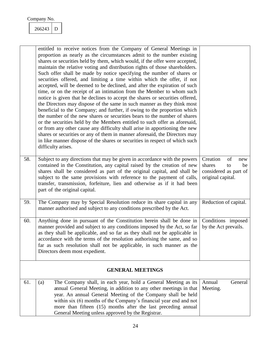$266243$  D

<span id="page-24-4"></span><span id="page-24-3"></span><span id="page-24-2"></span><span id="page-24-1"></span><span id="page-24-0"></span>

|     | entitled to receive notices from the Company of General Meetings in<br>proportion as nearly as the circumstances admit to the number existing<br>shares or securities held by them, which would, if the offer were accepted,<br>maintain the relative voting and distribution rights of those shareholders.<br>Such offer shall be made by notice specifying the number of shares or<br>securities offered, and limiting a time within which the offer, if not<br>accepted, will be deemed to be declined, and after the expiration of such<br>time, or on the receipt of an intimation from the Member to whom such<br>notice is given that he declines to accept the shares or securities offered,<br>the Directors may dispose of the same in such manner as they think most<br>beneficial to the Company; and further, if owing to the proportion which<br>the number of the new shares or securities bears to the number of shares<br>or the securities held by the Members entitled to such offer as aforesaid,<br>or from any other cause any difficulty shall arise in apportioning the new<br>shares or securities or any of them in manner aforesaid, the Directors may<br>in like manner dispose of the shares or securities in respect of which such<br>difficulty arises. |                                                                                           |
|-----|----------------------------------------------------------------------------------------------------------------------------------------------------------------------------------------------------------------------------------------------------------------------------------------------------------------------------------------------------------------------------------------------------------------------------------------------------------------------------------------------------------------------------------------------------------------------------------------------------------------------------------------------------------------------------------------------------------------------------------------------------------------------------------------------------------------------------------------------------------------------------------------------------------------------------------------------------------------------------------------------------------------------------------------------------------------------------------------------------------------------------------------------------------------------------------------------------------------------------------------------------------------------------------------|-------------------------------------------------------------------------------------------|
| 58. | Subject to any directions that may be given in accordance with the powers<br>contained in the Constitution, any capital raised by the creation of new<br>shares shall be considered as part of the original capital, and shall be<br>subject to the same provisions with reference to the payment of calls,<br>transfer, transmission, forfeiture, lien and otherwise as if it had been<br>part of the original capital.                                                                                                                                                                                                                                                                                                                                                                                                                                                                                                                                                                                                                                                                                                                                                                                                                                                               | of<br>Creation<br>new<br>shares<br>be<br>to<br>considered as part of<br>original capital. |
| 59. | The Company may by Special Resolution reduce its share capital in any<br>manner authorised and subject to any conditions prescribed by the Act.                                                                                                                                                                                                                                                                                                                                                                                                                                                                                                                                                                                                                                                                                                                                                                                                                                                                                                                                                                                                                                                                                                                                        | Reduction of capital.                                                                     |
| 60. | Anything done in pursuant of the Constitution herein shall be done in<br>manner provided and subject to any conditions imposed by the Act, so far<br>as they shall be applicable, and so far as they shall not be applicable in<br>accordance with the terms of the resolution authorising the same, and so<br>far as such resolution shall not be applicable, in such manner as the<br>Directors deem most expedient.                                                                                                                                                                                                                                                                                                                                                                                                                                                                                                                                                                                                                                                                                                                                                                                                                                                                 | Conditions imposed<br>by the Act prevails.                                                |
|     | <b>GENERAL MEETINGS</b>                                                                                                                                                                                                                                                                                                                                                                                                                                                                                                                                                                                                                                                                                                                                                                                                                                                                                                                                                                                                                                                                                                                                                                                                                                                                |                                                                                           |
| 61. | The Company shall, in each year, hold a General Meeting as its<br>(a)<br>annual General Meeting, in addition to any other meetings in that<br>year. An annual General Meeting of the Company shall be held<br>within six (6) months of the Company's financial year end and not<br>more than fifteen (15) months after the last preceding annual<br>General Meeting unless approved by the Registrar.                                                                                                                                                                                                                                                                                                                                                                                                                                                                                                                                                                                                                                                                                                                                                                                                                                                                                  | Annual<br>General<br>Meeting.                                                             |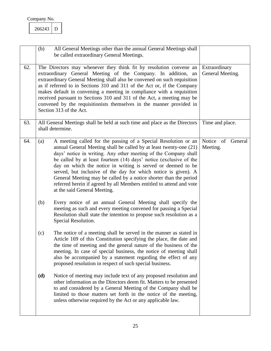<span id="page-25-2"></span><span id="page-25-1"></span><span id="page-25-0"></span>

|     | (b)<br>All General Meetings other than the annual General Meetings shall<br>be called extraordinary General Meetings.                                                                                                                                                                                                                                                                                                                                                                                                                                                                               |                                   |
|-----|-----------------------------------------------------------------------------------------------------------------------------------------------------------------------------------------------------------------------------------------------------------------------------------------------------------------------------------------------------------------------------------------------------------------------------------------------------------------------------------------------------------------------------------------------------------------------------------------------------|-----------------------------------|
| 62. | The Directors may whenever they think fit by resolution convene an<br>extraordinary General Meeting of the Company. In addition, an<br>extraordinary General Meeting shall also be convened on such requisition<br>as if referred to in Sections 310 and 311 of the Act or, if the Company<br>makes default in convening a meeting in compliance with a requisition<br>received pursuant to Sections 310 and 311 of the Act, a meeting may be<br>convened by the requisitionists themselves in the manner provided in<br>Section 313 of the Act.                                                    | Extraordinary<br>General Meeting. |
| 63. | All General Meetings shall be held at such time and place as the Directors<br>shall determine.                                                                                                                                                                                                                                                                                                                                                                                                                                                                                                      | Time and place.                   |
| 64. | A meeting called for the passing of a Special Resolution or an<br>(a)<br>annual General Meeting shall be called by at least twenty-one (21)<br>days' notice in writing. Any other meeting of the Company shall<br>be called by at least fourteen (14) days' notice (exclusive of the<br>day on which the notice in writing is served or deemed to be<br>served, but inclusive of the day for which notice is given). A<br>General Meeting may be called by a notice shorter than the period<br>referred herein if agreed by all Members entitled to attend and vote<br>at the said General Meeting. | Notice of General<br>Meeting.     |
|     | (b)<br>Every notice of an annual General Meeting shall specify the<br>meeting as such and every meeting convened for passing a Special<br>Resolution shall state the intention to propose such resolution as a<br>Special Resolution.                                                                                                                                                                                                                                                                                                                                                               |                                   |
|     | The notice of a meeting shall be served in the manner as stated in<br>(c)<br>Article 169 of this Constitution specifying the place, the date and<br>the time of meeting and the general nature of the business of the<br>meeting. In case of special business, the notice of meeting shall<br>also be accompanied by a statement regarding the effect of any<br>proposed resolution in respect of such special business.                                                                                                                                                                            |                                   |
|     | (d)<br>Notice of meeting may include text of any proposed resolution and<br>other information as the Directors deem fit. Matters to be presented<br>to and considered by a General Meeting of the Company shall be<br>limited to those matters set forth in the notice of the meeting,<br>unless otherwise required by the Act or any applicable law.                                                                                                                                                                                                                                               |                                   |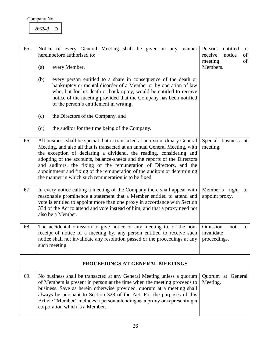<span id="page-26-1"></span><span id="page-26-0"></span>266243 D

<span id="page-26-5"></span><span id="page-26-4"></span><span id="page-26-3"></span><span id="page-26-2"></span>

| 65. | Notice of every General Meeting shall be given in any manner<br>hereinbefore authorised to:                                                                                                                                                                                                                                                                                                                                                                                                                                 | entitled<br>Persons<br>to<br>receive<br>notice<br>of<br>meeting<br>of |
|-----|-----------------------------------------------------------------------------------------------------------------------------------------------------------------------------------------------------------------------------------------------------------------------------------------------------------------------------------------------------------------------------------------------------------------------------------------------------------------------------------------------------------------------------|-----------------------------------------------------------------------|
|     | every Member,<br>(a)                                                                                                                                                                                                                                                                                                                                                                                                                                                                                                        | Members.                                                              |
|     | (b)<br>every person entitled to a share in consequence of the death or<br>bankruptcy or mental disorder of a Member or by operation of law<br>who, but for his death or bankruptcy, would be entitled to receive<br>notice of the meeting provided that the Company has been notified<br>of the person's entitlement in writing;                                                                                                                                                                                            |                                                                       |
|     | the Directors of the Company, and<br>(c)                                                                                                                                                                                                                                                                                                                                                                                                                                                                                    |                                                                       |
|     | the auditor for the time being of the Company.<br>(d)                                                                                                                                                                                                                                                                                                                                                                                                                                                                       |                                                                       |
| 66. | All business shall be special that is transacted at an extraordinary General<br>Meeting, and also all that is transacted at an annual General Meeting, with<br>the exception of declaring a dividend, the reading, considering and<br>adopting of the accounts, balance-sheets and the reports of the Directors<br>and auditors, the fixing of the remuneration of Directors, and the<br>appointment and fixing of the remuneration of the auditors or determining<br>the manner in which such remuneration is to be fixed. | Special business at<br>meeting.                                       |
| 67. | In every notice calling a meeting of the Company there shall appear with<br>reasonable prominence a statement that a Member entitled to attend and<br>vote is entitled to appoint more than one proxy in accordance with Section<br>334 of the Act to attend and vote instead of him, and that a proxy need not<br>also be a Member.                                                                                                                                                                                        | Member's right to<br>appoint proxy.                                   |
| 68. | The accidental omission to give notice of any meeting to, or the non-<br>receipt of notice of a meeting by, any person entitled to receive such<br>notice shall not invalidate any resolution passed or the proceedings at any<br>such meeting.                                                                                                                                                                                                                                                                             | Omission<br>not<br>to<br>invalidate<br>proceedings.                   |
|     | PROCEEDINGS AT GENERAL MEETINGS                                                                                                                                                                                                                                                                                                                                                                                                                                                                                             |                                                                       |
| 69. | No business shall be transacted at any General Meeting unless a quorum<br>of Members is present in person at the time when the meeting proceeds to<br>business. Save as herein otherwise provided, quorum at a meeting shall<br>always be pursuant to Section 328 of the Act. For the purposes of this<br>Article "Member" includes a person attending as a proxy or representing a<br>corporation which is a Member.                                                                                                       | Quorum at General<br>Meeting.                                         |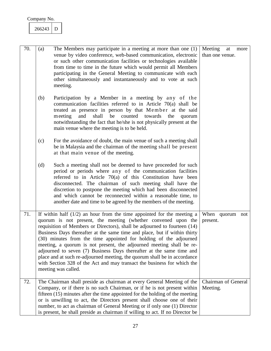#### <span id="page-27-0"></span>266243 D

<span id="page-27-2"></span><span id="page-27-1"></span>

| 70. | (a) | The Members may participate in a meeting at more than one (1)<br>venue by video conference, web-based communication, electronic<br>or such other communication facilities or technologies available<br>from time to time in the future which would permit all Members<br>participating in the General Meeting to communicate with each<br>other simultaneously and instantaneously and to vote at such<br>meeting.                                                                                                                                                                                                                                                                                      | Meeting<br>at<br>more<br>than one venue. |
|-----|-----|---------------------------------------------------------------------------------------------------------------------------------------------------------------------------------------------------------------------------------------------------------------------------------------------------------------------------------------------------------------------------------------------------------------------------------------------------------------------------------------------------------------------------------------------------------------------------------------------------------------------------------------------------------------------------------------------------------|------------------------------------------|
|     | (b) | Participation by a Member in a meeting by any of the<br>communication facilities referred to in Article $70(a)$ shall be<br>treated as presence in person by that Member at the said<br>and<br>shall<br>be counted towards<br>meeting<br>the<br>quorum<br>notwithstanding the fact that he/she is not physically present at the<br>main venue where the meeting is to be held.                                                                                                                                                                                                                                                                                                                          |                                          |
|     | (c) | For the avoidance of doubt, the main venue of such a meeting shall<br>be in Malaysia and the chairman of the meeting shall be present<br>at that main venue of the meeting.                                                                                                                                                                                                                                                                                                                                                                                                                                                                                                                             |                                          |
|     | (d) | Such a meeting shall not be deemed to have proceeded for such<br>period or periods where any of the communication facilities<br>referred to in Article $70(a)$ of this Constitution have been<br>disconnected. The chairman of such meeting shall have the<br>discretion to postpone the meeting which had been disconnected<br>and which cannot be reconnected within a reasonable time, to<br>another date and time to be agreed by the members of the meeting.                                                                                                                                                                                                                                       |                                          |
| 71. |     | If within half $(1/2)$ an hour from the time appointed for the meeting a<br>quorum is not present, the meeting (whether convened upon the<br>requisition of Members or Directors), shall be adjourned to fourteen (14)<br>Business Days thereafter at the same time and place, but if within thirty<br>(30) minutes from the time appointed for holding of the adjourned<br>meeting, a quorum is not present, the adjourned meeting shall be re-<br>adjourned to seven (7) Business Days thereafter at the same time and<br>place and at such re-adjourned meeting, the quorum shall be in accordance<br>with Section 328 of the Act and may transact the business for which the<br>meeting was called. | When quorum<br>not<br>present.           |
| 72. |     | The Chairman shall preside as chairman at every General Meeting of the<br>Company, or if there is no such Chairman, or if he is not present within<br>fifteen $(15)$ minutes after the time appointed for the holding of the meeting<br>or is unwilling to act, the Directors present shall choose one of their<br>number, to act as chairman of General Meeting or if only one (1) Director<br>is present, he shall preside as chairman if willing to act. If no Director be                                                                                                                                                                                                                           | <b>Chairman</b> of General<br>Meeting.   |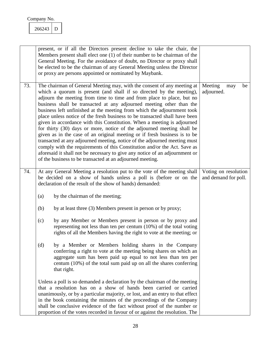<span id="page-28-0"></span>266243 D

<span id="page-28-1"></span>

|     | present, or if all the Directors present decline to take the chair, the<br>Members present shall elect one $(1)$ of their number to be chairman of the<br>General Meeting. For the avoidance of doubt, no Director or proxy shall<br>be elected to be the chairman of any General Meeting unless the Director<br>or proxy are persons appointed or nominated by Maybank.                                                                                                                                                                                                                                                                                                                                                                                                                                                                                                                                                                                                                          |                                              |
|-----|---------------------------------------------------------------------------------------------------------------------------------------------------------------------------------------------------------------------------------------------------------------------------------------------------------------------------------------------------------------------------------------------------------------------------------------------------------------------------------------------------------------------------------------------------------------------------------------------------------------------------------------------------------------------------------------------------------------------------------------------------------------------------------------------------------------------------------------------------------------------------------------------------------------------------------------------------------------------------------------------------|----------------------------------------------|
| 73. | The chairman of General Meeting may, with the consent of any meeting at<br>which a quorum is present (and shall if so directed by the meeting),<br>adjourn the meeting from time to time and from place to place, but no<br>business shall be transacted at any adjourned meeting other than the<br>business left unfinished at the meeting from which the adjournment took<br>place unless notice of the fresh business to be transacted shall have been<br>given in accordance with this Constitution. When a meeting is adjourned<br>for thirty (30) days or more, notice of the adjourned meeting shall be<br>given as in the case of an original meeting or if fresh business is to be<br>transacted at any adjourned meeting, notice of the adjourned meeting must<br>comply with the requirements of this Constitution and/or the Act. Save as<br>aforesaid it shall not be necessary to give any notice of an adjournment or<br>of the business to be transacted at an adjourned meeting. | Meeting<br>be<br>may<br>adjourned.           |
| 74. | At any General Meeting a resolution put to the vote of the meeting shall<br>be decided on a show of hands unless a poll is (before or on the<br>declaration of the result of the show of hands) demanded:                                                                                                                                                                                                                                                                                                                                                                                                                                                                                                                                                                                                                                                                                                                                                                                         | Voting on resolution<br>and demand for poll. |
|     | by the chairman of the meeting;<br>(a)                                                                                                                                                                                                                                                                                                                                                                                                                                                                                                                                                                                                                                                                                                                                                                                                                                                                                                                                                            |                                              |
|     | by at least three (3) Members present in person or by proxy;<br>(b)                                                                                                                                                                                                                                                                                                                                                                                                                                                                                                                                                                                                                                                                                                                                                                                                                                                                                                                               |                                              |
|     | (c)<br>by any Member or Members present in person or by proxy and<br>representing not less than ten per centum (10%) of the total voting<br>rights of all the Members having the right to vote at the meeting; or                                                                                                                                                                                                                                                                                                                                                                                                                                                                                                                                                                                                                                                                                                                                                                                 |                                              |
|     | by a Member or Members holding shares in the Company<br>(d)<br>conferring a right to vote at the meeting being shares on which an<br>aggregate sum has been paid up equal to not less than ten per<br>centum $(10\%)$ of the total sum paid up on all the shares conferring<br>that right.                                                                                                                                                                                                                                                                                                                                                                                                                                                                                                                                                                                                                                                                                                        |                                              |
|     | Unless a poll is so demanded a declaration by the chairman of the meeting<br>that a resolution has on a show of hands been carried or carried<br>unanimously, or by a particular majority, or lost, and an entry to that effect<br>in the book containing the minutes of the proceedings of the Company<br>shall be conclusive evidence of the fact without proof of the number or<br>proportion of the votes recorded in favour of or against the resolution. The                                                                                                                                                                                                                                                                                                                                                                                                                                                                                                                                |                                              |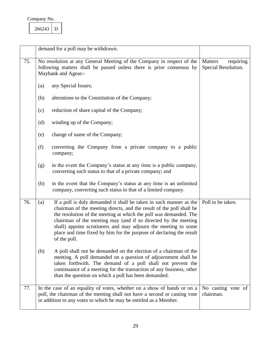<span id="page-29-2"></span><span id="page-29-1"></span><span id="page-29-0"></span>

|     |                                                                                                                                                                      | demand for a poll may be withdrawn.                                                                                                                                                                                                                                                                                                                                                                                                        |                                 |
|-----|----------------------------------------------------------------------------------------------------------------------------------------------------------------------|--------------------------------------------------------------------------------------------------------------------------------------------------------------------------------------------------------------------------------------------------------------------------------------------------------------------------------------------------------------------------------------------------------------------------------------------|---------------------------------|
| 75. | No resolution at any General Meeting of the Company in respect of the<br>following matters shall be passed unless there is prior consensus by<br>Maybank and Ageas:- | Matters<br>requiring<br>Special Resolution.                                                                                                                                                                                                                                                                                                                                                                                                |                                 |
|     | (a)                                                                                                                                                                  | any Special Issues;                                                                                                                                                                                                                                                                                                                                                                                                                        |                                 |
|     | (b)                                                                                                                                                                  | alterations to the Constitution of the Company;                                                                                                                                                                                                                                                                                                                                                                                            |                                 |
|     | (c)                                                                                                                                                                  |                                                                                                                                                                                                                                                                                                                                                                                                                                            |                                 |
|     | (d)                                                                                                                                                                  | winding up of the Company;                                                                                                                                                                                                                                                                                                                                                                                                                 |                                 |
|     | (e)                                                                                                                                                                  | change of name of the Company;                                                                                                                                                                                                                                                                                                                                                                                                             |                                 |
|     | (f)                                                                                                                                                                  | converting the Company from a private company to a public<br>company;                                                                                                                                                                                                                                                                                                                                                                      |                                 |
|     | (g)                                                                                                                                                                  |                                                                                                                                                                                                                                                                                                                                                                                                                                            |                                 |
|     | (h)                                                                                                                                                                  | in the event that the Company's status at any time is an unlimited<br>company, converting such status to that of a limited company.                                                                                                                                                                                                                                                                                                        |                                 |
| 76. | (a)                                                                                                                                                                  | If a poll is duly demanded it shall be taken in such manner as the<br>chairman of the meeting directs, and the result of the poll shall be<br>the resolution of the meeting at which the poll was demanded. The<br>chairman of the meeting may (and if so directed by the meeting<br>shall) appoint scrutineers and may adjourn the meeting to some<br>place and time fixed by him for the purpose of declaring the result<br>of the poll. | Poll to be taken.               |
|     | (b)                                                                                                                                                                  | A poll shall not be demanded on the election of a chairman of the<br>meeting. A poll demanded on a question of adjournment shall be<br>taken forthwith. The demand of a poll shall not prevent the<br>continuance of a meeting for the transaction of any business, other<br>than the question on which a poll has been demanded.                                                                                                          |                                 |
| 77. |                                                                                                                                                                      | In the case of an equality of votes, whether on a show of hands or on a<br>poll, the chairman of the meeting shall not have a second or casting vote<br>in addition to any votes to which he may be entitled as a Member.                                                                                                                                                                                                                  | No casting vote of<br>chairman. |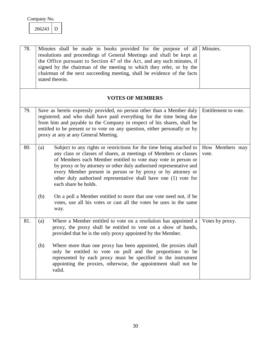<span id="page-30-3"></span><span id="page-30-2"></span><span id="page-30-0"></span>266243 D

<span id="page-30-4"></span><span id="page-30-1"></span>

| 78. | Minutes shall be made in books provided for the purpose of all<br>resolutions and proceedings of General Meetings and shall be kept at<br>the Office pursuant to Section 47 of the Act, and any such minutes, if<br>signed by the chairman of the meeting to which they refer, or by the<br>chairman of the next succeeding meeting, shall be evidence of the facts<br>stated therein.                                                               | Minutes.                 |
|-----|------------------------------------------------------------------------------------------------------------------------------------------------------------------------------------------------------------------------------------------------------------------------------------------------------------------------------------------------------------------------------------------------------------------------------------------------------|--------------------------|
|     | <b>VOTES OF MEMBERS</b>                                                                                                                                                                                                                                                                                                                                                                                                                              |                          |
| 79. | Save as herein expressly provided, no person other than a Member duly<br>registered; and who shall have paid everything for the time being due<br>from him and payable to the Company in respect of his shares, shall be<br>entitled to be present or to vote on any question, either personally or by<br>proxy at any at any General Meeting.                                                                                                       | Entitlement to vote.     |
| 80. | Subject to any rights or restrictions for the time being attached to<br>(a)<br>any class or classes of shares, at meetings of Members or classes<br>of Members each Member entitled to vote may vote in person or<br>by proxy or by attorney or other duly authorised representative and<br>every Member present in person or by proxy or by attorney or<br>other duly authorised representative shall have one (1) vote for<br>each share he holds. | How Members may<br>vote. |
|     | (b)<br>On a poll a Member entitled to more that one vote need not, if he<br>votes, use all his votes or cast all the votes he uses in the same<br>way.                                                                                                                                                                                                                                                                                               |                          |
| 81. | Where a Member entitled to vote on a resolution has appointed a<br>(a)<br>proxy, the proxy shall be entitled to vote on a show of hands,<br>provided that he is the only proxy appointed by the Member.                                                                                                                                                                                                                                              | Votes by proxy.          |
|     | (b)<br>Where more than one proxy has been appointed, the proxies shall<br>only be entitled to vote on poll and the proportions to be<br>represented by each proxy must be specified in the instrument<br>appointing the proxies, otherwise, the appointment shall not be<br>valid.                                                                                                                                                                   |                          |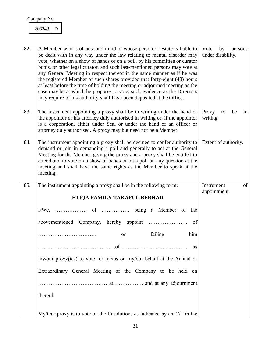<span id="page-31-2"></span><span id="page-31-1"></span><span id="page-31-0"></span>266243 D

<span id="page-31-3"></span>

| 82. | A Member who is of unsound mind or whose person or estate is liable to<br>be dealt with in any way under the law relating to mental disorder may<br>vote, whether on a show of hands or on a poll, by his committee or curator<br>bonis, or other legal curator, and such last-mentioned persons may vote at<br>any General Meeting in respect thereof in the same manner as if he was<br>the registered Member of such shares provided that forty-eight (48) hours<br>at least before the time of holding the meeting or adjourned meeting as the<br>case may be at which he proposes to vote, such evidence as the Directors<br>may require of his authority shall have been deposited at the Office. | by<br>Vote<br>persons<br>under disability. |
|-----|---------------------------------------------------------------------------------------------------------------------------------------------------------------------------------------------------------------------------------------------------------------------------------------------------------------------------------------------------------------------------------------------------------------------------------------------------------------------------------------------------------------------------------------------------------------------------------------------------------------------------------------------------------------------------------------------------------|--------------------------------------------|
| 83. | The instrument appointing a proxy shall be in writing under the hand of<br>the appointor or his attorney duly authorised in writing or, if the appointor<br>is a corporation, either under Seal or under the hand of an officer or<br>attorney duly authorised. A proxy may but need not be a Member.                                                                                                                                                                                                                                                                                                                                                                                                   | Proxy<br>in<br>to<br>be<br>writing.        |
| 84. | The instrument appointing a proxy shall be deemed to confer authority to<br>demand or join in demanding a poll and generally to act at the General<br>Meeting for the Member giving the proxy and a proxy shall be entitled to<br>attend and to vote on a show of hands or on a poll on any question at the<br>meeting and shall have the same rights as the Member to speak at the<br>meeting.                                                                                                                                                                                                                                                                                                         | Extent of authority.                       |
| 85. | The instrument appointing a proxy shall be in the following form:                                                                                                                                                                                                                                                                                                                                                                                                                                                                                                                                                                                                                                       | of<br>Instrument                           |
|     |                                                                                                                                                                                                                                                                                                                                                                                                                                                                                                                                                                                                                                                                                                         |                                            |
|     | ETIQA FAMILY TAKAFUL BERHAD                                                                                                                                                                                                                                                                                                                                                                                                                                                                                                                                                                                                                                                                             | appointment.                               |
|     |                                                                                                                                                                                                                                                                                                                                                                                                                                                                                                                                                                                                                                                                                                         |                                            |
|     | of                                                                                                                                                                                                                                                                                                                                                                                                                                                                                                                                                                                                                                                                                                      |                                            |
|     | failing<br>him<br>or                                                                                                                                                                                                                                                                                                                                                                                                                                                                                                                                                                                                                                                                                    |                                            |
|     | as                                                                                                                                                                                                                                                                                                                                                                                                                                                                                                                                                                                                                                                                                                      |                                            |
|     | my/our proxy(ies) to vote for me/us on my/our behalf at the Annual or                                                                                                                                                                                                                                                                                                                                                                                                                                                                                                                                                                                                                                   |                                            |
|     | Extraordinary General Meeting of the Company to be held on                                                                                                                                                                                                                                                                                                                                                                                                                                                                                                                                                                                                                                              |                                            |
|     |                                                                                                                                                                                                                                                                                                                                                                                                                                                                                                                                                                                                                                                                                                         |                                            |
|     | thereof.                                                                                                                                                                                                                                                                                                                                                                                                                                                                                                                                                                                                                                                                                                |                                            |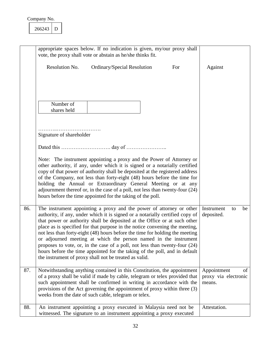<span id="page-32-2"></span><span id="page-32-1"></span><span id="page-32-0"></span>

|     |                          | appropriate spaces below. If no indication is given, my/our proxy shall<br>vote, the proxy shall vote or abstain as he/she thinks fit.                                                                                                                                                                                                                                                                                                                                                                                                                                                                                                                                                         |     |                                               |    |
|-----|--------------------------|------------------------------------------------------------------------------------------------------------------------------------------------------------------------------------------------------------------------------------------------------------------------------------------------------------------------------------------------------------------------------------------------------------------------------------------------------------------------------------------------------------------------------------------------------------------------------------------------------------------------------------------------------------------------------------------------|-----|-----------------------------------------------|----|
|     | Resolution No.           | Ordinary/Special Resolution                                                                                                                                                                                                                                                                                                                                                                                                                                                                                                                                                                                                                                                                    | For | Against                                       |    |
|     |                          |                                                                                                                                                                                                                                                                                                                                                                                                                                                                                                                                                                                                                                                                                                |     |                                               |    |
|     | Number of                |                                                                                                                                                                                                                                                                                                                                                                                                                                                                                                                                                                                                                                                                                                |     |                                               |    |
|     | shares held              |                                                                                                                                                                                                                                                                                                                                                                                                                                                                                                                                                                                                                                                                                                |     |                                               |    |
|     | Signature of shareholder |                                                                                                                                                                                                                                                                                                                                                                                                                                                                                                                                                                                                                                                                                                |     |                                               |    |
|     |                          |                                                                                                                                                                                                                                                                                                                                                                                                                                                                                                                                                                                                                                                                                                |     |                                               |    |
|     |                          | Note: The instrument appointing a proxy and the Power of Attorney or<br>other authority, if any, under which it is signed or a notarially certified<br>copy of that power of authority shall be deposited at the registered address<br>of the Company, not less than forty-eight (48) hours before the time for<br>holding the Annual or Extraordinary General Meeting or at any<br>adjournment thereof or, in the case of a poll, not less than twenty-four (24)<br>hours before the time appointed for the taking of the poll.                                                                                                                                                               |     |                                               |    |
| 86. |                          | The instrument appointing a proxy and the power of attorney or other<br>authority, if any, under which it is signed or a notarially certified copy of<br>that power or authority shall be deposited at the Office or at such other<br>place as is specified for that purpose in the notice convening the meeting,<br>not less than forty-eight (48) hours before the time for holding the meeting<br>or adjourned meeting at which the person named in the instrument<br>proposes to vote, or, in the case of a poll, not less than twenty-four $(24)$<br>hours before the time appointed for the taking of the poll, and in default<br>the instrument of proxy shall not be treated as valid. |     | Instrument<br>to<br>deposited.                | be |
| 87. |                          | Notwithstanding anything contained in this Constitution, the appointment<br>of a proxy shall be valid if made by cable, telegram or telex provided that<br>such appointment shall be confirmed in writing in accordance with the<br>provisions of the Act governing the appointment of proxy within three (3)<br>weeks from the date of such cable, telegram or telex.                                                                                                                                                                                                                                                                                                                         |     | Appointment<br>proxy via electronic<br>means. | of |
| 88. |                          | An instrument appointing a proxy executed in Malaysia need not be<br>witnessed. The signature to an instrument appointing a proxy executed                                                                                                                                                                                                                                                                                                                                                                                                                                                                                                                                                     |     | Attestation.                                  |    |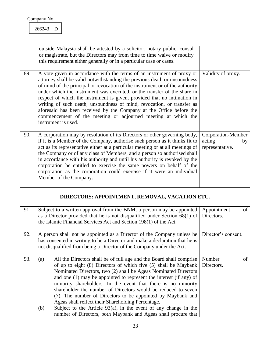<span id="page-33-0"></span>

| Company No. |  |
|-------------|--|
|             |  |

<span id="page-33-5"></span><span id="page-33-4"></span><span id="page-33-3"></span><span id="page-33-2"></span><span id="page-33-1"></span>

|     | outside Malaysia shall be attested by a solicitor, notary public, consul<br>or magistrate, but the Directors may from time to time waive or modify<br>this requirement either generally or in a particular case or cases.                                                                                                                                                                                                                                                                                                                                                                                                                                                                            |                                                       |
|-----|------------------------------------------------------------------------------------------------------------------------------------------------------------------------------------------------------------------------------------------------------------------------------------------------------------------------------------------------------------------------------------------------------------------------------------------------------------------------------------------------------------------------------------------------------------------------------------------------------------------------------------------------------------------------------------------------------|-------------------------------------------------------|
| 89. | A vote given in accordance with the terms of an instrument of proxy or<br>attorney shall be valid notwithstanding the previous death or unsoundness<br>of mind of the principal or revocation of the instrument or of the authority<br>under which the instrument was executed, or the transfer of the share in<br>respect of which the instrument is given, provided that no intimation in<br>writing of such death, unsoundness of mind, revocation, or transfer as<br>aforesaid has been received by the Company at the Office before the<br>commencement of the meeting or adjourned meeting at which the<br>instrument is used.                                                                 | Validity of proxy.                                    |
| 90. | A corporation may by resolution of its Directors or other governing body,<br>if it is a Member of the Company, authorise such person as it thinks fit to<br>act as its representative either at a particular meeting or at all meetings of<br>the Company or of any class of Members, and a person so authorised shall<br>in accordance with his authority and until his authority is revoked by the<br>corporation be entitled to exercise the same powers on behalf of the<br>corporation as the corporation could exercise if it were an individual<br>Member of the Company.                                                                                                                     | Corporation-Member<br>acting<br>by<br>representative. |
|     | DIRECTORS: APPOINTMENT, REMOVAL, VACATION ETC.                                                                                                                                                                                                                                                                                                                                                                                                                                                                                                                                                                                                                                                       |                                                       |
| 91. | Subject to a written approval from the BNM, a person may be appointed<br>as a Director provided that he is not disqualified under Section $68(1)$ of<br>the Islamic Financial Services Act and Section 198(1) of the Act.                                                                                                                                                                                                                                                                                                                                                                                                                                                                            | Appointment<br>of<br>Directors.                       |
| 92. | A person shall not be appointed as a Director of the Company unless he<br>has consented in writing to be a Director and make a declaration that he is<br>not disqualified from being a Director of the Company under the Act.                                                                                                                                                                                                                                                                                                                                                                                                                                                                        | Director's consent.                                   |
| 93. | All the Directors shall be of full age and the Board shall comprise<br>(a)<br>of up to eight (8) Directors of which five (5) shall be Maybank<br>Nominated Directors, two (2) shall be Ageas Nominated Directors<br>and one $(1)$ may be appointed to represent the interest $($ if any $)$ of<br>minority shareholders. In the event that there is no minority<br>shareholder the number of Directors would be reduced to seven<br>(7). The number of Directors to be appointed by Maybank and<br>Ageas shall reflect their Shareholding Percentage.<br>Subject to the Article $93(a)$ , in the event of any change in the<br>(b)<br>number of Directors, both Maybank and Ageas shall procure that | Number<br>of<br>Directors.                            |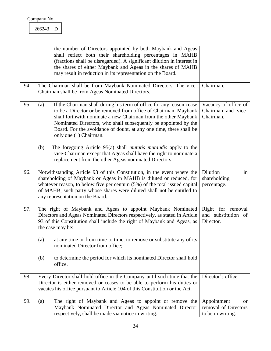<span id="page-34-1"></span><span id="page-34-0"></span>266243 D

<span id="page-34-5"></span><span id="page-34-4"></span><span id="page-34-3"></span><span id="page-34-2"></span>

|     | the number of Directors appointed by both Maybank and Ageas<br>shall reflect both their shareholding percentages in MAHB<br>(fractions shall be disregarded). A significant dilution in interest in<br>the shares of either Maybank and Ageas in the shares of MAHB<br>may result in reduction in its representation on the Board.                                                  |                                                                           |
|-----|-------------------------------------------------------------------------------------------------------------------------------------------------------------------------------------------------------------------------------------------------------------------------------------------------------------------------------------------------------------------------------------|---------------------------------------------------------------------------|
| 94. | The Chairman shall be from Maybank Nominated Directors. The vice-<br>Chairman shall be from Ageas Nominated Directors.                                                                                                                                                                                                                                                              | Chairman.                                                                 |
| 95. | If the Chairman shall during his term of office for any reason cease<br>(a)<br>to be a Director or be removed from office of Chairman, Maybank<br>shall forthwith nominate a new Chairman from the other Maybank<br>Nominated Directors, who shall subsequently be appointed by the<br>Board. For the avoidance of doubt, at any one time, there shall be<br>only one (1) Chairman. | Vacancy of office of<br>Chairman and vice-<br>Chairman.                   |
|     | (b)<br>The foregoing Article 95(a) shall <i>mutatis mutandis</i> apply to the<br>vice-Chairman except that Ageas shall have the right to nominate a<br>replacement from the other Ageas nominated Directors.                                                                                                                                                                        |                                                                           |
| 96. | Notwithstanding Article 93 of this Constitution, in the event where the<br>shareholding of Maybank or Ageas in MAHB is diluted or reduced, for<br>whatever reason, to below five per centum $(5%)$ of the total issued capital<br>of MAHB, such party whose shares were diluted shall not be entitled to<br>any representation on the Board.                                        | Dilution<br>in<br>shareholding<br>percentage.                             |
| 97. | The right of Maybank and Ageas to appoint Maybank Nominated<br>Directors and Ageas Nominated Directors respectively, as stated in Article<br>93 of this Constitution shall include the right of Maybank and Ageas, as<br>the case may be:                                                                                                                                           | Right for removal<br>and substitution of<br>Director.                     |
|     | at any time or from time to time, to remove or substitute any of its<br>(a)<br>nominated Director from office;                                                                                                                                                                                                                                                                      |                                                                           |
|     | to determine the period for which its nominated Director shall hold<br>(b)<br>office.                                                                                                                                                                                                                                                                                               |                                                                           |
| 98. | Every Director shall hold office in the Company until such time that the<br>Director is either removed or ceases to be able to perform his duties or<br>vacates his office pursuant to Article 104 of this Constitution or the Act.                                                                                                                                                 | Director's office.                                                        |
| 99. | The right of Maybank and Ageas to appoint or remove the<br>(a)<br>Maybank Nominated Director and Ageas Nominated Director<br>respectively, shall be made via notice in writing.                                                                                                                                                                                                     | Appointment<br><sub>or</sub><br>removal of Directors<br>to be in writing. |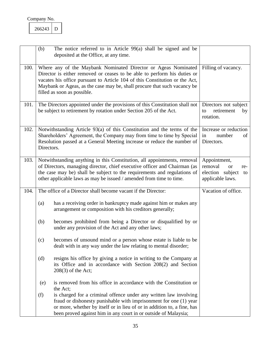<span id="page-35-4"></span><span id="page-35-3"></span><span id="page-35-2"></span><span id="page-35-1"></span><span id="page-35-0"></span>

|      | (b)        | The notice referred to in Article $99(a)$ shall be signed and be<br>deposited at the Office, at any time.                                                                                                                                                                                                                            |                                                                                           |
|------|------------|--------------------------------------------------------------------------------------------------------------------------------------------------------------------------------------------------------------------------------------------------------------------------------------------------------------------------------------|-------------------------------------------------------------------------------------------|
| 100. |            | Where any of the Maybank Nominated Director or Ageas Nominated<br>Director is either removed or ceases to be able to perform his duties or<br>vacates his office pursuant to Article 104 of this Constitution or the Act,<br>Maybank or Ageas, as the case may be, shall procure that such vacancy be<br>filled as soon as possible. | Filling of vacancy.                                                                       |
| 101. |            | The Directors appointed under the provisions of this Constitution shall not<br>be subject to retirement by rotation under Section 205 of the Act.                                                                                                                                                                                    | Directors not subject<br>retirement<br>to<br>by<br>rotation.                              |
| 102. | Directors. | Notwithstanding Article 93(a) of this Constitution and the terms of the<br>Shareholders' Agreement, the Company may from time to time by Special<br>Resolution passed at a General Meeting increase or reduce the number of                                                                                                          | Increase or reduction<br>number<br>of<br>in<br>Directors.                                 |
| 103. |            | Notwithstanding anything in this Constitution, all appointments, removal<br>of Directors, managing director, chief executive officer and Chairman (as<br>the case may be) shall be subject to the requirements and regulations of<br>other applicable laws as may be issued / amended from time to time.                             | Appointment,<br>removal<br><b>or</b><br>re-<br>election subject<br>to<br>applicable laws. |
| 104. |            | The office of a Director shall become vacant if the Director:                                                                                                                                                                                                                                                                        | Vacation of office.                                                                       |
|      | (a)        | has a receiving order in bankruptcy made against him or makes any<br>arrangement or composition with his creditors generally;                                                                                                                                                                                                        |                                                                                           |
|      | (b)        | becomes prohibited from being a Director or disqualified by or<br>under any provision of the Act and any other laws;                                                                                                                                                                                                                 |                                                                                           |
|      | (c)        | becomes of unsound mind or a person whose estate is liable to be<br>dealt with in any way under the law relating to mental disorder;                                                                                                                                                                                                 |                                                                                           |
|      | (d)        | resigns his office by giving a notice in writing to the Company at<br>its Office and in accordance with Section 208(2) and Section<br>$208(3)$ of the Act;                                                                                                                                                                           |                                                                                           |
|      | (e)        | is removed from his office in accordance with the Constitution or<br>the Act;                                                                                                                                                                                                                                                        |                                                                                           |
|      | (f)        | is charged for a criminal offence under any written law involving<br>fraud or dishonesty punishable with imprisonment for one (1) year<br>or more, whether by itself or in lieu of or in addition to, a fine, has<br>been proved against him in any court in or outside of Malaysia;                                                 |                                                                                           |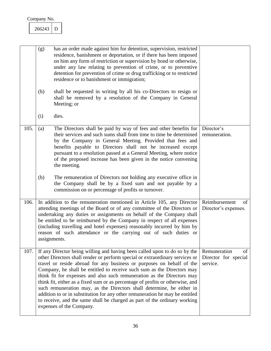<span id="page-36-2"></span><span id="page-36-1"></span><span id="page-36-0"></span>

|      | (g)          | has an order made against him for detention, supervision, restricted<br>residence, banishment or deportation, or if there has been imposed<br>on him any form of restriction or supervision by bond or otherwise,<br>under any law relating to prevention of crime, or to preventive<br>detention for prevention of crime or drug trafficking or to restricted<br>residence or to banishment or immigration;                                                                                                                                                                                                                                                                                                                               |                                                        |
|------|--------------|--------------------------------------------------------------------------------------------------------------------------------------------------------------------------------------------------------------------------------------------------------------------------------------------------------------------------------------------------------------------------------------------------------------------------------------------------------------------------------------------------------------------------------------------------------------------------------------------------------------------------------------------------------------------------------------------------------------------------------------------|--------------------------------------------------------|
|      | (h)          | shall be requested in writing by all his co-Directors to resign or<br>shall be removed by a resolution of the Company in General<br>Meeting; or                                                                                                                                                                                                                                                                                                                                                                                                                                                                                                                                                                                            |                                                        |
|      | (i)          | dies.                                                                                                                                                                                                                                                                                                                                                                                                                                                                                                                                                                                                                                                                                                                                      |                                                        |
| 105. | (a)          | The Directors shall be paid by way of fees and other benefits for<br>their services and such sums shall from time to time be determined<br>by the Company in General Meeting. Provided that fees and<br>benefits payable to Directors shall not be increased except<br>pursuant to a resolution passed at a General Meeting, where notice<br>of the proposed increase has been given in the notice convening<br>the meeting.                                                                                                                                                                                                                                                                                                               | Director's<br>remuneration.                            |
|      | (b)          | The remuneration of Directors not holding any executive office in<br>the Company shall be by a fixed sum and not payable by a<br>commission on or percentage of profits or turnover.                                                                                                                                                                                                                                                                                                                                                                                                                                                                                                                                                       |                                                        |
| 106. | assignments. | In addition to the remuneration mentioned in Article 105, any Director<br>attending meetings of the Board or of any committee of the Directors or<br>undertaking any duties or assignments on behalf of the Company shall<br>be entitled to be reimbursed by the Company in respect of all expenses<br>(including travelling and hotel expenses) reasonably incurred by him by<br>reason of such attendance or the carrying out of such duties or                                                                                                                                                                                                                                                                                          | Reimbursement<br>of<br>Director's expenses.            |
| 107. |              | If any Director being willing and having been called upon to do so by the<br>other Directors shall render or perform special or extraordinary services or<br>travel or reside abroad for any business or purposes on behalf of the<br>Company, he shall be entitled to receive such sum as the Directors may<br>think fit for expenses and also such remuneration as the Directors may<br>think fit, either as a fixed sum or as percentage of profits or otherwise, and<br>such remuneration may, as the Directors shall determine, be either in<br>addition to or in substitution for any other remuneration he may be entitled<br>to receive, and the same shall be charged as part of the ordinary working<br>expenses of the Company. | Remuneration<br>of<br>Director for special<br>service. |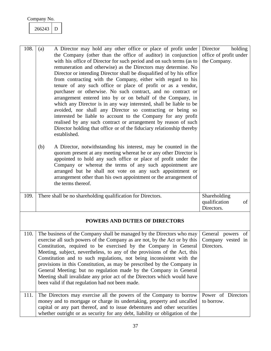<span id="page-37-0"></span>

| 266243 |  |
|--------|--|
|        |  |

<span id="page-37-4"></span><span id="page-37-3"></span><span id="page-37-2"></span><span id="page-37-1"></span>

| 108. | A Director may hold any other office or place of profit under<br>(a)<br>the Company (other than the office of auditor) in conjunction<br>with his office of Director for such period and on such terms (as to<br>remuneration and otherwise) as the Directors may determine. No<br>Director or intending Director shall be disqualified of by his office<br>from contracting with the Company, either with regard to his<br>tenure of any such office or place of profit or as a vendor,<br>purchaser or otherwise. No such contract, and no contract or<br>arrangement entered into by or on behalf of the Company, in<br>which any Director is in any way interested, shall be liable to be<br>avoided, nor shall any Director so contracting or being so<br>interested be liable to account to the Company for any profit<br>realised by any such contract or arrangement by reason of such<br>Director holding that office or of the fiduciary relationship thereby<br>established.<br>A Director, notwithstanding his interest, may be counted in the<br>(b)<br>quorum present at any meeting whereat he or any other Director is<br>appointed to hold any such office or place of profit under the<br>Company or whereat the terms of any such appointment are<br>arranged but he shall not vote on any such appointment or<br>arrangement other than his own appointment or the arrangement of<br>the terms thereof. | holding<br>Director<br>office of profit under<br>the Company. |
|------|-----------------------------------------------------------------------------------------------------------------------------------------------------------------------------------------------------------------------------------------------------------------------------------------------------------------------------------------------------------------------------------------------------------------------------------------------------------------------------------------------------------------------------------------------------------------------------------------------------------------------------------------------------------------------------------------------------------------------------------------------------------------------------------------------------------------------------------------------------------------------------------------------------------------------------------------------------------------------------------------------------------------------------------------------------------------------------------------------------------------------------------------------------------------------------------------------------------------------------------------------------------------------------------------------------------------------------------------------------------------------------------------------------------------------------|---------------------------------------------------------------|
| 109. | There shall be no shareholding qualification for Directors.                                                                                                                                                                                                                                                                                                                                                                                                                                                                                                                                                                                                                                                                                                                                                                                                                                                                                                                                                                                                                                                                                                                                                                                                                                                                                                                                                                 | Shareholding<br>qualification<br>of<br>Directors.             |
|      | <b>POWERS AND DUTIES OF DIRECTORS</b>                                                                                                                                                                                                                                                                                                                                                                                                                                                                                                                                                                                                                                                                                                                                                                                                                                                                                                                                                                                                                                                                                                                                                                                                                                                                                                                                                                                       |                                                               |
| 110. | The business of the Company shall be managed by the Directors who may<br>exercise all such powers of the Company as are not, by the Act or by this<br>Constitution, required to be exercised by the Company in General<br>Meeting, subject, nevertheless, to any of the provisions of the Act, this<br>Constitution and to such regulations, not being inconsistent with the<br>provisions in this Constitution, as may be prescribed by the Company in<br>General Meeting; but no regulation made by the Company in General<br>Meeting shall invalidate any prior act of the Directors which would have<br>been valid if that regulation had not been made.                                                                                                                                                                                                                                                                                                                                                                                                                                                                                                                                                                                                                                                                                                                                                                | General powers<br>of<br>Company vested in<br>Directors.       |
| 111. | The Directors may exercise all the powers of the Company to borrow<br>money and to mortgage or charge its undertaking, property and uncalled<br>capital or any part thereof, and to issue debentures and other securities<br>whether outright or as security for any debt, liability or obligation of the                                                                                                                                                                                                                                                                                                                                                                                                                                                                                                                                                                                                                                                                                                                                                                                                                                                                                                                                                                                                                                                                                                                   | Power of Directors<br>to borrow.                              |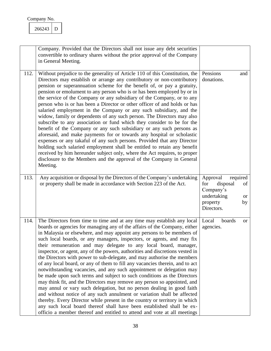<span id="page-38-0"></span>

| Company No. |  |
|-------------|--|
|             |  |

<span id="page-38-2"></span><span id="page-38-1"></span>

|      | Company. Provided that the Directors shall not issue any debt securities<br>convertible to ordinary shares without the prior approval of the Company<br>in General Meeting.                                                                                                                                                                                                                                                                                                                                                                                                                                                                                                                                                                                                                                                                                                                                                                                                                                                                                                                                                                                                                                                                      |                                                                                                                        |
|------|--------------------------------------------------------------------------------------------------------------------------------------------------------------------------------------------------------------------------------------------------------------------------------------------------------------------------------------------------------------------------------------------------------------------------------------------------------------------------------------------------------------------------------------------------------------------------------------------------------------------------------------------------------------------------------------------------------------------------------------------------------------------------------------------------------------------------------------------------------------------------------------------------------------------------------------------------------------------------------------------------------------------------------------------------------------------------------------------------------------------------------------------------------------------------------------------------------------------------------------------------|------------------------------------------------------------------------------------------------------------------------|
| 112. | Without prejudice to the generality of Article 110 of this Constitution, the<br>Directors may establish or arrange any contributory or non-contributory<br>pension or superannuation scheme for the benefit of, or pay a gratuity,<br>pension or emolument to any person who is or has been employed by or in<br>the service of the Company or any subsidiary of the Company, or to any<br>person who is or has been a Director or other officer of and holds or has<br>salaried employment in the Company or any such subsidiary, and the<br>widow, family or dependents of any such person. The Directors may also<br>subscribe to any association or fund which they consider to be for the<br>benefit of the Company or any such subsidiary or any such persons as<br>aforesaid, and make payments for or towards any hospital or scholastic<br>expenses or any takaful of any such persons. Provided that any Director<br>holding such salaried employment shall be entitled to retain any benefit<br>received by him hereunder subject only, where the Act requires, to proper<br>disclosure to the Members and the approval of the Company in General<br>Meeting.                                                                         | Pensions<br>and<br>donations.                                                                                          |
| 113. | Any acquisition or disposal by the Directors of the Company's undertaking<br>or property shall be made in accordance with Section 223 of the Act.                                                                                                                                                                                                                                                                                                                                                                                                                                                                                                                                                                                                                                                                                                                                                                                                                                                                                                                                                                                                                                                                                                | Approval<br>required<br>disposal<br>for<br>of<br>Company's<br>undertaking<br><b>or</b><br>property<br>by<br>Directors. |
| 114. | The Directors from time to time and at any time may establish any local<br>boards or agencies for managing any of the affairs of the Company, either<br>in Malaysia or elsewhere, and may appoint any persons to be members of<br>such local boards, or any managers, inspectors, or agents, and may fix<br>their remuneration and may delegate to any local board, manager,<br>inspector, or agent, any of the powers, authorities and discretions vested in<br>the Directors with power to sub-delegate, and may authorise the members<br>of any local board, or any of them to fill any vacancies therein, and to act<br>notwithstanding vacancies, and any such appointment or delegation may<br>be made upon such terms and subject to such conditions as the Directors<br>may think fit, and the Directors may remove any person so appointed, and<br>may annul or vary such delegation, but no person dealing in good faith<br>and without notice of any such annulment or variation shall be affected<br>thereby. Every Director while present in the country or territory in which<br>any such local board thereof shall have been established shall be ex-<br>officio a member thereof and entitled to attend and vote at all meetings | Local<br>boards<br><b>or</b><br>agencies.                                                                              |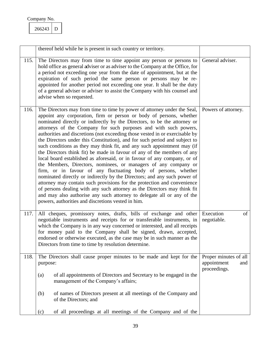<span id="page-39-1"></span><span id="page-39-0"></span>266243 D

<span id="page-39-3"></span><span id="page-39-2"></span>

|      | thereof held while he is present in such country or territory.                                                                                                                                                                                                                                                                                                                                                                                                                                                                                                                                                                                                                                                                                                                                                                                                                                                                                                                                                                                                                                                                                                                                          |                                                             |
|------|---------------------------------------------------------------------------------------------------------------------------------------------------------------------------------------------------------------------------------------------------------------------------------------------------------------------------------------------------------------------------------------------------------------------------------------------------------------------------------------------------------------------------------------------------------------------------------------------------------------------------------------------------------------------------------------------------------------------------------------------------------------------------------------------------------------------------------------------------------------------------------------------------------------------------------------------------------------------------------------------------------------------------------------------------------------------------------------------------------------------------------------------------------------------------------------------------------|-------------------------------------------------------------|
| 115. | The Directors may from time to time appoint any person or persons to<br>hold office as general adviser or as adviser to the Company at the Office, for<br>a period not exceeding one year from the date of appointment, but at the<br>expiration of such period the same person or persons may be re-<br>appointed for another period not exceeding one year. It shall be the duty<br>of a general adviser or adviser to assist the Company with his counsel and<br>advise when so requested.                                                                                                                                                                                                                                                                                                                                                                                                                                                                                                                                                                                                                                                                                                           | General adviser.                                            |
| 116. | The Directors may from time to time by power of attorney under the Seal,<br>appoint any corporation, firm or person or body of persons, whether<br>nominated directly or indirectly by the Directors, to be the attorney or<br>attorneys of the Company for such purposes and with such powers,<br>authorities and discretions (not exceeding those vested in or exercisable by<br>the Directors under this Constitution), and for such period and subject to<br>such conditions as they may think fit, and any such appointment may (if<br>the Directors think fit) be made in favour of any of the members of any<br>local board established as aforesaid, or in favour of any company, or of<br>the Members, Directors, nominees, or managers of any company or<br>firm, or in favour of any fluctuating body of persons, whether<br>nominated directly or indirectly by the Directors; and any such power of<br>attorney may contain such provisions for the protection and convenience<br>of persons dealing with any such attorney as the Directors may think fit<br>and may also authorise any such attorney to delegate all or any of the<br>powers, authorities and discretions vested in him. | Powers of attorney.                                         |
| 117. | All cheques, promissory notes, drafts, bills of exchange and other<br>negotiable instruments and receipts for or transferable instruments, in<br>which the Company is in any way concerned or interested, and all receipts<br>for money paid to the Company shall be signed, drawn, accepted,<br>endorsed or otherwise executed, as the case may be in such manner as the<br>Directors from time to time by resolution determine.                                                                                                                                                                                                                                                                                                                                                                                                                                                                                                                                                                                                                                                                                                                                                                       | Execution<br>of<br>negotiable.                              |
| 118. | The Directors shall cause proper minutes to be made and kept for the<br>purpose:<br>of all appointments of Directors and Secretary to be engaged in the<br>(a)<br>management of the Company's affairs;<br>of names of Directors present at all meetings of the Company and<br>(b)<br>of the Directors; and                                                                                                                                                                                                                                                                                                                                                                                                                                                                                                                                                                                                                                                                                                                                                                                                                                                                                              | Proper minutes of all<br>appointment<br>and<br>proceedings. |
|      | of all proceedings at all meetings of the Company and of the<br>(c)                                                                                                                                                                                                                                                                                                                                                                                                                                                                                                                                                                                                                                                                                                                                                                                                                                                                                                                                                                                                                                                                                                                                     |                                                             |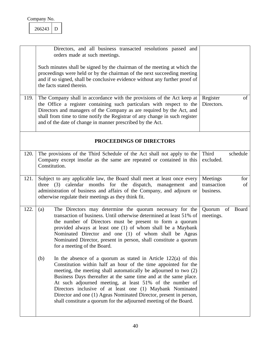<span id="page-40-3"></span><span id="page-40-2"></span><span id="page-40-0"></span>

| 266243 |  |
|--------|--|
|        |  |

<span id="page-40-4"></span><span id="page-40-1"></span>

| 119. | Directors, and all business transacted resolutions passed and<br>orders made at such meetings.<br>Such minutes shall be signed by the chairman of the meeting at which the<br>proceedings were held or by the chairman of the next succeeding meeting<br>and if so signed, shall be conclusive evidence without any further proof of<br>the facts stated therein.<br>The Company shall in accordance with the provisions of the Act keep at<br>the Office a register containing such particulars with respect to the<br>Directors and managers of the Company as are required by the Act, and<br>shall from time to time notify the Registrar of any change in such register<br>and of the date of change in manner prescribed by the Act.                                                                                                                                                                                                                                            | Register<br>of<br>Directors.                      |
|------|---------------------------------------------------------------------------------------------------------------------------------------------------------------------------------------------------------------------------------------------------------------------------------------------------------------------------------------------------------------------------------------------------------------------------------------------------------------------------------------------------------------------------------------------------------------------------------------------------------------------------------------------------------------------------------------------------------------------------------------------------------------------------------------------------------------------------------------------------------------------------------------------------------------------------------------------------------------------------------------|---------------------------------------------------|
|      | PROCEEDINGS OF DIRECTORS                                                                                                                                                                                                                                                                                                                                                                                                                                                                                                                                                                                                                                                                                                                                                                                                                                                                                                                                                              |                                                   |
| 120. | The provisions of the Third Schedule of the Act shall not apply to the<br>Company except insofar as the same are repeated or contained in this<br>Constitution.                                                                                                                                                                                                                                                                                                                                                                                                                                                                                                                                                                                                                                                                                                                                                                                                                       | Third<br>schedule<br>excluded.                    |
| 121. | Subject to any applicable law, the Board shall meet at least once every<br>three (3) calendar months for the dispatch, management and<br>administration of business and affairs of the Company, and adjourn or<br>otherwise regulate their meetings as they think fit.                                                                                                                                                                                                                                                                                                                                                                                                                                                                                                                                                                                                                                                                                                                | Meetings<br>for<br>transaction<br>of<br>business. |
| 122. | The Directors may determine the quorum necessary for the<br>(a)<br>transaction of business. Until otherwise determined at least 51% of<br>the number of Directors must be present to form a quorum<br>provided always at least one (1) of whom shall be a Maybank<br>Nominated Director and one (1) of whom shall be Ageas<br>Nominated Director, present in person, shall constitute a quorum<br>for a meeting of the Board.<br>In the absence of a quorum as stated in Article $122(a)$ of this<br>(b)<br>Constitution within half an hour of the time appointed for the<br>meeting, the meeting shall automatically be adjourned to two (2)<br>Business Days thereafter at the same time and at the same place.<br>At such adjourned meeting, at least 51% of the number of<br>Directors inclusive of at least one (1) Maybank Nominated<br>Director and one (1) Ageas Nominated Director, present in person,<br>shall constitute a quorum for the adjourned meeting of the Board. | of<br>Board<br>Quorum<br>meetings.                |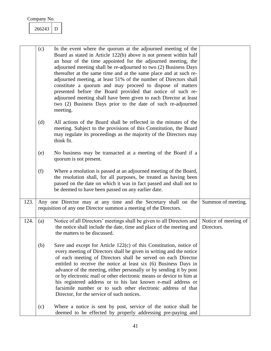#### 266243 D

<span id="page-41-1"></span><span id="page-41-0"></span>

|      | (c) | In the event where the quorum at the adjourned meeting of the<br>Board as stated in Article 122(b) above is not present within half<br>an hour of the time appointed for the adjourned meeting, the<br>adjourned meeting shall be re-adjourned to two (2) Business Days<br>thereafter at the same time and at the same place and at such re-<br>adjourned meeting, at least 51% of the number of Directors shall<br>constitute a quorum and may proceed to dispose of matters<br>presented before the Board provided that notice of such re-<br>adjourned meeting shall have been given to each Director at least<br>two (2) Business Days prior to the date of such re-adjourned<br>meeting. |                                    |
|------|-----|-----------------------------------------------------------------------------------------------------------------------------------------------------------------------------------------------------------------------------------------------------------------------------------------------------------------------------------------------------------------------------------------------------------------------------------------------------------------------------------------------------------------------------------------------------------------------------------------------------------------------------------------------------------------------------------------------|------------------------------------|
|      | (d) | All actions of the Board shall be reflected in the minutes of the<br>meeting. Subject to the provisions of this Constitution, the Board<br>may regulate its proceedings as the majority of the Directors may<br>think fit.                                                                                                                                                                                                                                                                                                                                                                                                                                                                    |                                    |
|      | (e) | No business may be transacted at a meeting of the Board if a<br>quorum is not present.                                                                                                                                                                                                                                                                                                                                                                                                                                                                                                                                                                                                        |                                    |
|      | (f) | Where a resolution is passed at an adjourned meeting of the Board,<br>the resolution shall, for all purposes, be treated as having been<br>passed on the date on which it was in fact passed and shall not to<br>be deemed to have been passed on any earlier date.                                                                                                                                                                                                                                                                                                                                                                                                                           |                                    |
| 123. |     | Any one Director may at any time and the Secretary shall on the<br>requisition of any one Director summon a meeting of the Directors.                                                                                                                                                                                                                                                                                                                                                                                                                                                                                                                                                         | Summon of meeting.                 |
| 124. | (a) | Notice of all Directors' meetings shall be given to all Directors and<br>the notice shall include the date, time and place of the meeting and<br>the matters to be discussed.                                                                                                                                                                                                                                                                                                                                                                                                                                                                                                                 | Notice of meeting of<br>Directors. |
|      | (b) | Save and except for Article 122(c) of this Constitution, notice of<br>every meeting of Directors shall be given in writing and the notice<br>of each meeting of Directors shall be served on each Director<br>entitled to receive the notice at least six (6) Business Days in<br>advance of the meeting, either personally or by sending it by post<br>or by electronic mail or other electronic means or device to him at<br>his registered address or to his last known e-mail address or<br>facsimile number or to such other electronic address of that<br>Director, for the service of such notices.                                                                                    |                                    |
|      | (c) | Where a notice is sent by post, service of the notice shall be<br>deemed to be effected by properly addressing pre-paying and                                                                                                                                                                                                                                                                                                                                                                                                                                                                                                                                                                 |                                    |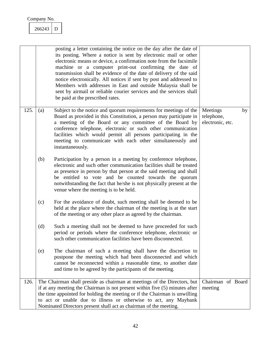<span id="page-42-0"></span>266243 D

<span id="page-42-1"></span>

|      |     | posting a letter containing the notice on the day after the date of<br>its posting. Where a notice is sent by electronic mail or other<br>electronic means or device, a confirmation note from the facsimile<br>machine or a computer print-out confirming the date of<br>transmission shall be evidence of the date of delivery of the said<br>notice electronically. All notices if sent by post and addressed to<br>Members with addresses in East and outside Malaysia shall be<br>sent by airmail or reliable courier services and the services shall<br>be paid at the prescribed rates. |                                            |    |
|------|-----|------------------------------------------------------------------------------------------------------------------------------------------------------------------------------------------------------------------------------------------------------------------------------------------------------------------------------------------------------------------------------------------------------------------------------------------------------------------------------------------------------------------------------------------------------------------------------------------------|--------------------------------------------|----|
| 125. | (a) | Subject to the notice and quorum requirements for meetings of the<br>Board as provided in this Constitution, a person may participate in<br>a meeting of the Board or any committee of the Board by<br>conference telephone, electronic or such other communication<br>facilities which would permit all persons participating in the<br>meeting to communicate with each other simultaneously and<br>instantaneously.                                                                                                                                                                         | Meetings<br>telephone,<br>electronic, etc. | by |
|      | (b) | Participation by a person in a meeting by conference telephone,<br>electronic and such other communication facilities shall be treated<br>as presence in person by that person at the said meeting and shall<br>be entitled to vote and be counted towards the quorum<br>notwithstanding the fact that he/she is not physically present at the<br>venue where the meeting is to be held.                                                                                                                                                                                                       |                                            |    |
|      | (c) | For the avoidance of doubt, such meeting shall be deemed to be<br>held at the place where the chairman of the meeting is at the start<br>of the meeting or any other place as agreed by the chairman.                                                                                                                                                                                                                                                                                                                                                                                          |                                            |    |
|      | (d) | Such a meeting shall not be deemed to have proceeded for such<br>period or periods where the conference telephone, electronic or<br>such other communication facilities have been disconnected.                                                                                                                                                                                                                                                                                                                                                                                                |                                            |    |
|      | (e) | The chairman of such a meeting shall have the discretion to<br>postpone the meeting which had been disconnected and which<br>cannot be reconnected within a reasonable time, to another date<br>and time to be agreed by the participants of the meeting.                                                                                                                                                                                                                                                                                                                                      |                                            |    |
| 126. |     | The Chairman shall preside as chairman at meetings of the Directors, but<br>if at any meeting the Chairman is not present within five (5) minutes after<br>the time appointed for holding the meeting or if the Chairman is unwilling<br>to act or unable due to illness or otherwise to act, any Maybank<br>Nominated Directors present shall act as chairman of the meeting.                                                                                                                                                                                                                 | Chairman of Board<br>meeting               |    |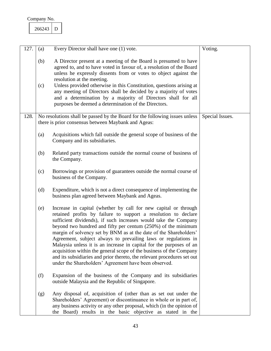<span id="page-43-1"></span><span id="page-43-0"></span>

| 266243 |  |
|--------|--|
|        |  |

| 127. | (a)        | Every Director shall have one (1) vote.                                                                                                                                                                                                                                                                                                                                                                                                                                                                                                                                                                                                                                                          | Voting.         |
|------|------------|--------------------------------------------------------------------------------------------------------------------------------------------------------------------------------------------------------------------------------------------------------------------------------------------------------------------------------------------------------------------------------------------------------------------------------------------------------------------------------------------------------------------------------------------------------------------------------------------------------------------------------------------------------------------------------------------------|-----------------|
|      | (b)<br>(c) | A Director present at a meeting of the Board is presumed to have<br>agreed to, and to have voted in favour of, a resolution of the Board<br>unless he expressly dissents from or votes to object against the<br>resolution at the meeting.<br>Unless provided otherwise in this Constitution, questions arising at<br>any meeting of Directors shall be decided by a majority of votes<br>and a determination by a majority of Directors shall for all<br>purposes be deemed a determination of the Directors.                                                                                                                                                                                   |                 |
| 128. |            | No resolutions shall be passed by the Board for the following issues unless<br>there is prior consensus between Maybank and Ageas:                                                                                                                                                                                                                                                                                                                                                                                                                                                                                                                                                               | Special Issues. |
|      | (a)        | Acquisitions which fall outside the general scope of business of the<br>Company and its subsidiaries.                                                                                                                                                                                                                                                                                                                                                                                                                                                                                                                                                                                            |                 |
|      | (b)        | Related party transactions outside the normal course of business of<br>the Company.                                                                                                                                                                                                                                                                                                                                                                                                                                                                                                                                                                                                              |                 |
|      | (c)        | Borrowings or provision of guarantees outside the normal course of<br>business of the Company.                                                                                                                                                                                                                                                                                                                                                                                                                                                                                                                                                                                                   |                 |
|      | (d)        | Expenditure, which is not a direct consequence of implementing the<br>business plan agreed between Maybank and Ageas.                                                                                                                                                                                                                                                                                                                                                                                                                                                                                                                                                                            |                 |
|      | (e)        | Increase in capital (whether by call for new capital or through<br>retained profits by failure to support a resolution to declare<br>sufficient dividends), if such increases would take the Company<br>beyond two hundred and fifty per centum $(250%)$ of the minimum<br>margin of solvency set by BNM as at the date of the Shareholders'<br>Agreement, subject always to prevailing laws or regulations in<br>Malaysia unless it is an increase in capital for the purposes of an<br>acquisition within the general scope of the business of the Company<br>and its subsidiaries and prior thereto, the relevant procedures set out<br>under the Shareholders' Agreement have been observed. |                 |
|      | (f)        | Expansion of the business of the Company and its subsidiaries<br>outside Malaysia and the Republic of Singapore.                                                                                                                                                                                                                                                                                                                                                                                                                                                                                                                                                                                 |                 |
|      | (g)        | Any disposal of, acquisition of (other than as set out under the<br>Shareholders' Agreement) or discontinuance in whole or in part of,<br>any business activity or any other proposal, which (in the opinion of<br>the Board) results in the basic objective as stated in the                                                                                                                                                                                                                                                                                                                                                                                                                    |                 |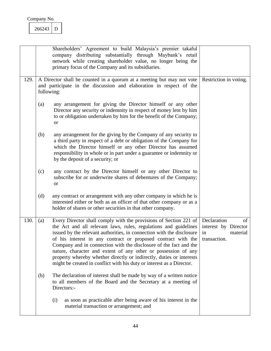<span id="page-44-0"></span>

| Company No. |  |
|-------------|--|
|             |  |

<span id="page-44-1"></span>

|      |     | Shareholders' Agreement to build Malaysia's premier takaful<br>company distributing substantially through Maybank's retail<br>network while creating shareholder value, no longer being the<br>primary focus of the Company and its subsidiaries.                                                                                                                                                                                                                                                                                                                       |                                                                             |
|------|-----|-------------------------------------------------------------------------------------------------------------------------------------------------------------------------------------------------------------------------------------------------------------------------------------------------------------------------------------------------------------------------------------------------------------------------------------------------------------------------------------------------------------------------------------------------------------------------|-----------------------------------------------------------------------------|
| 129. |     | A Director shall be counted in a quorum at a meeting but may not vote<br>and participate in the discussion and elaboration in respect of the<br>following:                                                                                                                                                                                                                                                                                                                                                                                                              | Restriction in voting.                                                      |
|      | (a) | any arrangement for giving the Director himself or any other<br>Director any security or indemnity in respect of money lent by him<br>to or obligation undertaken by him for the benefit of the Company;<br><b>or</b>                                                                                                                                                                                                                                                                                                                                                   |                                                                             |
|      | (b) | any arrangement for the giving by the Company of any security to<br>a third party in respect of a debt or obligation of the Company for<br>which the Director himself or any other Director has assumed<br>responsibility in whole or in part under a guarantee or indemnity or<br>by the deposit of a security; or                                                                                                                                                                                                                                                     |                                                                             |
|      | (c) | any contract by the Director himself or any other Director to<br>subscribe for or underwrite shares of debentures of the Company;<br><b>or</b>                                                                                                                                                                                                                                                                                                                                                                                                                          |                                                                             |
|      | (d) | any contract or arrangement with any other company in which he is<br>interested either or both as an officer of that other company or as a<br>holder of shares or other securities in that other company.                                                                                                                                                                                                                                                                                                                                                               |                                                                             |
| 130. | (a) | Every Director shall comply with the provisions of Section 221 of<br>the Act and all relevant laws, rules, regulations and guidelines<br>issued by the relevant authorities, in connection with the disclosure<br>of his interest in any contract or proposed contract with the<br>Company and in connection with the disclosure of the fact and the<br>nature, character and extent of any other or possession of any<br>property whereby whether directly or indirectly, duties or interests<br>might be created in conflict with his duty or interest as a Director. | Declaration<br>of<br>interest by Director<br>material<br>in<br>transaction. |
|      | (b) | The declaration of interest shall be made by way of a written notice<br>to all members of the Board and the Secretary at a meeting of<br>Directors:-                                                                                                                                                                                                                                                                                                                                                                                                                    |                                                                             |
|      |     | as soon as practicable after being aware of his interest in the<br>(i)<br>material transaction or arrangement; and                                                                                                                                                                                                                                                                                                                                                                                                                                                      |                                                                             |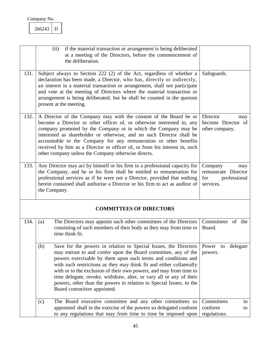<span id="page-45-1"></span><span id="page-45-0"></span>

<span id="page-45-6"></span><span id="page-45-5"></span><span id="page-45-4"></span><span id="page-45-3"></span><span id="page-45-2"></span>

|      | if the material transaction or arrangement is being deliberated<br>(ii)<br>at a meeting of the Directors, before the commencement of<br>the deliberation.                                                                                                                                                                                                                                                                                                                                                                            |                                                                           |
|------|--------------------------------------------------------------------------------------------------------------------------------------------------------------------------------------------------------------------------------------------------------------------------------------------------------------------------------------------------------------------------------------------------------------------------------------------------------------------------------------------------------------------------------------|---------------------------------------------------------------------------|
| 131. | Subject always to Section 222 (2) of the Act, regardless of whether a<br>declaration has been made, a Director, who has, directly or indirectly,<br>an interest in a material transaction or arrangement, shall not participate<br>and vote at the meeting of Directors where the material transaction or<br>arrangement is being deliberated, but he shall be counted in the quorum<br>present at the meeting.                                                                                                                      | Safeguards.                                                               |
| 132. | A Director of the Company may with the consent of the Board be or<br>become a Director or other officer of, or otherwise interested in, any<br>company promoted by the Company or in which the Company may be<br>interested as shareholder or otherwise, and no such Director shall be<br>accountable to the Company for any remuneration or other benefits<br>received by him as a Director or officer of, or from his interest in, such<br>other company unless the Company otherwise directs.                                     | Director<br>may<br>become Director of<br>other company.                   |
| 133. | Any Director may act by himself or his firm in a professional capacity for<br>the Company, and he or his firm shall be entitled to remuneration for<br>professional services as if he were not a Director, provided that nothing<br>herein contained shall authorise a Director or his firm to act as auditor of<br>the Company.                                                                                                                                                                                                     | Company<br>may<br>remunerate Director<br>for<br>professional<br>services. |
|      | <b>COMMITTEES OF DIRECTORS</b>                                                                                                                                                                                                                                                                                                                                                                                                                                                                                                       |                                                                           |
| 134. | The Directors may appoint such other committees of the Directors<br>(a)<br>consisting of such members of their body as they may from time to<br>time think fit.                                                                                                                                                                                                                                                                                                                                                                      | Committees of the<br>Board.                                               |
|      | Save for the powers in relation to Special Issues, the Directors<br>(b)<br>may entrust to and confer upon the Board committee, any of the<br>powers exercisable by them upon such terms and conditions and<br>with such restrictions as they may think fit and either collaterally<br>with or to the exclusion of their own powers, and may from time to<br>time delegate, revoke, withdraw, alter, or vary all or any of their<br>powers, other than the powers in relation to Special Issues, to the<br>Board committee appointed. | Power to delegate<br>powers.                                              |
|      | The Board executive committee and any other committees so<br>(c)<br>appointed shall in the exercise of the powers so delegated conform<br>to any regulations that may from time to time be imposed upon                                                                                                                                                                                                                                                                                                                              | Committees<br>to<br>conform<br>to<br>regulations.                         |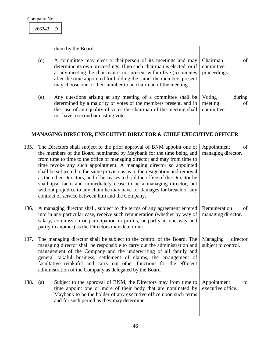<span id="page-46-3"></span><span id="page-46-1"></span><span id="page-46-0"></span>266243 D

<span id="page-46-6"></span><span id="page-46-5"></span><span id="page-46-4"></span><span id="page-46-2"></span>

|      | them by the Board.                                                                                                                                                                                                                                                                                                                                                                                                                                                                                                                                                                                                                                                           |                                                 |
|------|------------------------------------------------------------------------------------------------------------------------------------------------------------------------------------------------------------------------------------------------------------------------------------------------------------------------------------------------------------------------------------------------------------------------------------------------------------------------------------------------------------------------------------------------------------------------------------------------------------------------------------------------------------------------------|-------------------------------------------------|
|      | A committee may elect a chairperson of its meetings and may<br>(d)<br>determine its own proceedings. If no such chairman is elected, or if<br>at any meeting the chairman is not present within five (5) minutes<br>after the time appointed for holding the same, the members present<br>may choose one of their number to be chairman of the meeting.                                                                                                                                                                                                                                                                                                                      | Chairman<br>of<br>committee<br>proceedings.     |
|      | Any questions arising at any meeting of a committee shall be<br>(e)<br>determined by a majority of votes of the members present, and in<br>the case of an equality of votes the chairman of the meeting shall<br>not have a second or casting vote.                                                                                                                                                                                                                                                                                                                                                                                                                          | Voting<br>during<br>meeting<br>of<br>committee. |
|      | <b>MANAGING DIRECTOR, EXECUTIVE DIRECTOR &amp; CHIEF EXECUTIVE OFFICER</b>                                                                                                                                                                                                                                                                                                                                                                                                                                                                                                                                                                                                   |                                                 |
| 135. | The Directors shall subject to the prior approval of BNM appoint one of<br>the members of the Board nominated by Maybank for the time being and<br>from time to time to the office of managing director and may from time to<br>time revoke any such appointment. A managing director so appointed<br>shall be subjected to the same provisions as to the resignation and removal<br>as the other Directors, and if he ceases to hold the office of the Director he<br>shall ipso facto and immediately cease to be a managing director, but<br>without prejudice to any claim he may have for damages for breach of any<br>contract of service between him and the Company. | Appointment<br>of<br>managing director.         |
| 136. | A managing director shall, subject to the terms of any agreement entered<br>into in any particular case, receive such remuneration (whether by way of<br>salary, commission or participation in profits, or partly in one way and<br>partly in another) as the Directors may determine.                                                                                                                                                                                                                                                                                                                                                                                      | Remuneration<br>of<br>managing director.        |
| 137. | The managing director shall be subject to the control of the Board. The<br>managing director shall be responsible to carry out the administration and<br>management of the Company and the underwriting of all family and<br>general takaful business, settlement of claims, the arrangement of<br>facultative retakaful and carry out other functions for the efficient<br>administration of the Company as delegated by the Board.                                                                                                                                                                                                                                         | Managing<br>director<br>subject to control.     |
| 138. | Subject to the approval of BNM, the Directors may from time to<br>(a)<br>time appoint one or more of their body that are nominated by<br>Maybank to be the holder of any executive office upon such terms<br>and for such period as they may determine.                                                                                                                                                                                                                                                                                                                                                                                                                      | Appointment<br>to<br>executive office.          |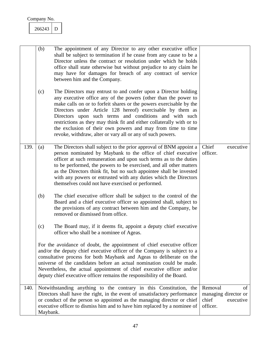<span id="page-47-1"></span><span id="page-47-0"></span>

|      | (b)<br>(c) | The appointment of any Director to any other executive office<br>shall be subject to termination if he cease from any cause to be a<br>Director unless the contract or resolution under which he holds<br>office shall state otherwise but without prejudice to any claim he<br>may have for damages for breach of any contract of service<br>between him and the Company.<br>The Directors may entrust to and confer upon a Director holding<br>any executive office any of the powers (other than the power to<br>make calls on or to forfeit shares or the powers exercisable by the<br>Directors under Article 128 hereof) exercisable by them as<br>Directors upon such terms and conditions and with such<br>restrictions as they may think fit and either collaterally with or to<br>the exclusion of their own powers and may from time to time<br>revoke, withdraw, alter or vary all or any of such powers. |                              |                                         |
|------|------------|-----------------------------------------------------------------------------------------------------------------------------------------------------------------------------------------------------------------------------------------------------------------------------------------------------------------------------------------------------------------------------------------------------------------------------------------------------------------------------------------------------------------------------------------------------------------------------------------------------------------------------------------------------------------------------------------------------------------------------------------------------------------------------------------------------------------------------------------------------------------------------------------------------------------------|------------------------------|-----------------------------------------|
| 139. | (a)        | The Directors shall subject to the prior approval of BNM appoint a<br>person nominated by Maybank to the office of chief executive<br>officer at such remuneration and upon such terms as to the duties<br>to be performed, the powers to be exercised, and all other matters<br>as the Directors think fit, but no such appointee shall be invested<br>with any powers or entrusted with any duties which the Directors<br>themselves could not have exercised or performed.                                                                                                                                                                                                                                                                                                                                                                                                                                         | Chief<br>officer.            | executive                               |
|      | (b)        | The chief executive officer shall be subject to the control of the<br>Board and a chief executive officer so appointed shall, subject to<br>the provisions of any contract between him and the Company, be<br>removed or dismissed from office.                                                                                                                                                                                                                                                                                                                                                                                                                                                                                                                                                                                                                                                                       |                              |                                         |
|      | (c)        | The Board may, if it deems fit, appoint a deputy chief executive<br>officer who shall be a nominee of Ageas.                                                                                                                                                                                                                                                                                                                                                                                                                                                                                                                                                                                                                                                                                                                                                                                                          |                              |                                         |
|      |            | For the avoidance of doubt, the appointment of chief executive officer<br>and/or the deputy chief executive officer of the Company is subject to a<br>consultative process for both Maybank and Ageas to deliberate on the<br>universe of the candidates before an actual nomination could be made.<br>Nevertheless, the actual appointment of chief executive officer and/or<br>deputy chief executive officer remains the responsibility of the Board.                                                                                                                                                                                                                                                                                                                                                                                                                                                              |                              |                                         |
| 140. | Maybank.   | Notwithstanding anything to the contrary in this Constitution, the<br>Directors shall have the right, in the event of unsatisfactory performance<br>or conduct of the person so appointed as the managing director or chief<br>executive officer to dismiss him and to have him replaced by a nominee of                                                                                                                                                                                                                                                                                                                                                                                                                                                                                                                                                                                                              | Removal<br>chief<br>officer. | of<br>managing director or<br>executive |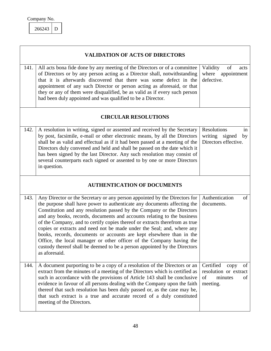<span id="page-48-3"></span><span id="page-48-1"></span>266243 D

<span id="page-48-6"></span><span id="page-48-5"></span><span id="page-48-4"></span><span id="page-48-2"></span><span id="page-48-0"></span>

|      | <b>VALIDATION OF ACTS OF DIRECTORS</b>                                                                                                                                                                                                                                                                                                                                                                                                                                                                                                                                                                                                                                                                             |                                                                                     |
|------|--------------------------------------------------------------------------------------------------------------------------------------------------------------------------------------------------------------------------------------------------------------------------------------------------------------------------------------------------------------------------------------------------------------------------------------------------------------------------------------------------------------------------------------------------------------------------------------------------------------------------------------------------------------------------------------------------------------------|-------------------------------------------------------------------------------------|
| 141. | All acts bona fide done by any meeting of the Directors or of a committee<br>of Directors or by any person acting as a Director shall, notwithstanding<br>that it is afterwards discovered that there was some defect in the<br>appointment of any such Director or person acting as aforesaid, or that<br>they or any of them were disqualified, be as valid as if every such person<br>had been duly appointed and was qualified to be a Director.                                                                                                                                                                                                                                                               | Validity<br>of<br>acts<br>where appointment<br>defective.                           |
|      | <b>CIRCULAR RESOLUTIONS</b>                                                                                                                                                                                                                                                                                                                                                                                                                                                                                                                                                                                                                                                                                        |                                                                                     |
| 142. | A resolution in writing, signed or assented and received by the Secretary<br>by post, facsimile, e-mail or other electronic means, by all the Directors<br>shall be as valid and effectual as if it had been passed at a meeting of the<br>Directors duly convened and held and shall be passed on the date which it<br>has been signed by the last Director. Any such resolution may consist of<br>several counterparts each signed or assented to by one or more Directors<br>in question.                                                                                                                                                                                                                       | Resolutions<br>in<br>writing signed<br>by<br>Directors effective.                   |
|      | <b>AUTHENTICATION OF DOCUMENTS</b>                                                                                                                                                                                                                                                                                                                                                                                                                                                                                                                                                                                                                                                                                 |                                                                                     |
| 143. | Any Director or the Secretary or any person appointed by the Directors for<br>the purpose shall have power to authenticate any documents affecting the<br>Constitution and any resolution passed by the Company or the Directors<br>and any books, records, documents and accounts relating to the business<br>of the Company, and to certify copies thereof or extracts therefrom as true<br>copies or extracts and need not be made under the Seal; and, where any<br>books, records, documents or accounts are kept elsewhere than in the<br>Office, the local manager or other officer of the Company having the<br>custody thereof shall be deemed to be a person appointed by the Directors<br>as aforesaid. | Authentication<br>of<br>documents.                                                  |
| 144. | A document purporting to be a copy of a resolution of the Directors or an<br>extract from the minutes of a meeting of the Directors which is certified as<br>such in accordance with the provisions of Article 143 shall be conclusive<br>evidence in favour of all persons dealing with the Company upon the faith<br>thereof that such resolution has been duly passed or, as the case may be,<br>that such extract is a true and accurate record of a duly constituted<br>meeting of the Directors.                                                                                                                                                                                                             | Certified<br>of<br>copy<br>resolution or extract<br>of<br>of<br>minutes<br>meeting. |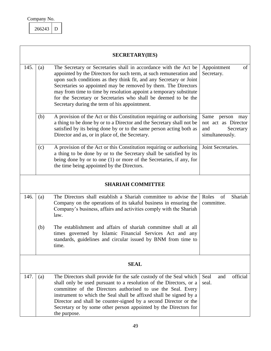<span id="page-49-3"></span><span id="page-49-2"></span><span id="page-49-1"></span>266243 D

<span id="page-49-7"></span><span id="page-49-6"></span><span id="page-49-5"></span><span id="page-49-4"></span><span id="page-49-0"></span>

|      | <b>SECRETARY(IES)</b>    |                                                                                                                                                                                                                                                                                                                                                                                                                                                                         |                                                                                     |  |  |
|------|--------------------------|-------------------------------------------------------------------------------------------------------------------------------------------------------------------------------------------------------------------------------------------------------------------------------------------------------------------------------------------------------------------------------------------------------------------------------------------------------------------------|-------------------------------------------------------------------------------------|--|--|
| 145. | (a)                      | The Secretary or Secretaries shall in accordance with the Act be<br>appointed by the Directors for such term, at such remuneration and<br>upon such conditions as they think fit, and any Secretary or Joint<br>Secretaries so appointed may be removed by them. The Directors<br>may from time to time by resolution appoint a temporary substitute<br>for the Secretary or Secretaries who shall be deemed to be the<br>Secretary during the term of his appointment. | Appointment<br>of<br>Secretary.                                                     |  |  |
|      | (b)                      | A provision of the Act or this Constitution requiring or authorising<br>a thing to be done by or to a Director and the Secretary shall not be<br>satisfied by its being done by or to the same person acting both as<br>Director and as, or in place of, the Secretary.                                                                                                                                                                                                 | Same<br>person<br>may<br>not act as Director<br>Secretary<br>and<br>simultaneously. |  |  |
|      | (c)                      | A provision of the Act or this Constitution requiring or authorising<br>a thing to be done by or to the Secretary shall be satisfied by its<br>being done by or to one (1) or more of the Secretaries, if any, for<br>the time being appointed by the Directors.                                                                                                                                                                                                        | Joint Secretaries.                                                                  |  |  |
|      | <b>SHARIAH COMMITTEE</b> |                                                                                                                                                                                                                                                                                                                                                                                                                                                                         |                                                                                     |  |  |
| 146. | (a)                      | The Directors shall establish a Shariah committee to advise the<br>Company on the operations of its takaful business in ensuring the<br>Company's business, affairs and activities comply with the Shariah<br>law.                                                                                                                                                                                                                                                      | Shariah<br>Roles<br>of<br>committee.                                                |  |  |
|      | (b)                      | The establishment and affairs of shariah committee shall at all<br>times governed by Islamic Financial Services Act and any<br>standards, guidelines and circular issued by BNM from time to<br>ume.                                                                                                                                                                                                                                                                    |                                                                                     |  |  |
|      | <b>SEAL</b>              |                                                                                                                                                                                                                                                                                                                                                                                                                                                                         |                                                                                     |  |  |
| 147. | (a)                      | The Directors shall provide for the safe custody of the Seal which<br>shall only be used pursuant to a resolution of the Directors, or a<br>committee of the Directors authorised to use the Seal. Every<br>instrument to which the Seal shall be affixed shall be signed by a<br>Director and shall be counter-signed by a second Director or the<br>Secretary or by some other person appointed by the Directors for<br>the purpose.                                  | official<br>Seal<br>and<br>seal.                                                    |  |  |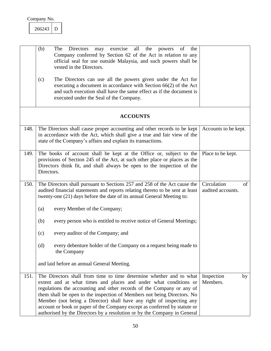<span id="page-50-2"></span><span id="page-50-1"></span>

| 266243 |  |
|--------|--|
|        |  |

<span id="page-50-4"></span><span id="page-50-3"></span><span id="page-50-0"></span>

|      | (b)<br>may exercise all the<br>The<br>Directors<br>the<br>powers of<br>Company conferred by Section 62 of the Act in relation to any<br>official seal for use outside Malaysia, and such powers shall be<br>vested in the Directors.                                                                                                                                                                                                                                                                                         |                                        |
|------|------------------------------------------------------------------------------------------------------------------------------------------------------------------------------------------------------------------------------------------------------------------------------------------------------------------------------------------------------------------------------------------------------------------------------------------------------------------------------------------------------------------------------|----------------------------------------|
|      | The Directors can use all the powers given under the Act for<br>(c)<br>executing a document in accordance with Section 66(2) of the Act<br>and such execution shall have the same effect as if the document is<br>executed under the Seal of the Company.                                                                                                                                                                                                                                                                    |                                        |
|      | <b>ACCOUNTS</b>                                                                                                                                                                                                                                                                                                                                                                                                                                                                                                              |                                        |
| 148. | The Directors shall cause proper accounting and other records to be kept<br>in accordance with the Act, which shall give a true and fair view of the<br>state of the Company's affairs and explain its transactions.                                                                                                                                                                                                                                                                                                         | Accounts to be kept.                   |
| 149. | The books of account shall be kept at the Office or, subject to the<br>provisions of Section 245 of the Act, at such other place or places as the<br>Directors think fit, and shall always be open to the inspection of the<br>Directors.                                                                                                                                                                                                                                                                                    | Place to be kept.                      |
| 150. | The Directors shall pursuant to Sections 257 and 258 of the Act cause the<br>audited financial statements and reports relating thereto to be sent at least<br>twenty-one (21) days before the date of its annual General Meeting to:                                                                                                                                                                                                                                                                                         | Circulation<br>of<br>audited accounts. |
|      | every Member of the Company;<br>(a)                                                                                                                                                                                                                                                                                                                                                                                                                                                                                          |                                        |
|      | (b)<br>every person who is entitled to receive notice of General Meetings;                                                                                                                                                                                                                                                                                                                                                                                                                                                   |                                        |
|      | every auditor of the Company; and<br>(c)                                                                                                                                                                                                                                                                                                                                                                                                                                                                                     |                                        |
|      | every debenture holder of the Company on a request being made to<br>(d)<br>the Company                                                                                                                                                                                                                                                                                                                                                                                                                                       |                                        |
|      | and laid before an annual General Meeting.                                                                                                                                                                                                                                                                                                                                                                                                                                                                                   |                                        |
| 151. | The Directors shall from time to time determine whether and to what<br>extent and at what times and places and under what conditions or<br>regulations the accounting and other records of the Company or any of<br>them shall be open to the inspection of Members not being Directors. No<br>Member (not being a Director) shall have any right of inspecting any<br>account or book or paper of the Company except as conferred by statute or<br>authorised by the Directors by a resolution or by the Company in General | Inspection<br>by<br>Members.           |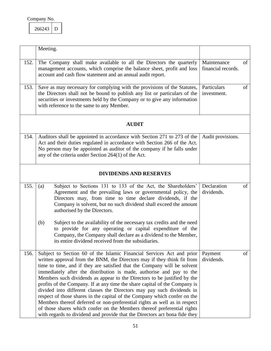<span id="page-51-3"></span><span id="page-51-1"></span><span id="page-51-0"></span>

| 266243 |  |
|--------|--|
|        |  |

<span id="page-51-6"></span><span id="page-51-5"></span><span id="page-51-4"></span><span id="page-51-2"></span>

|      | Meeting.                                                                                                                                                                                                                                                                                                                                                                                                                                                                                                                                                                                                                                                                                                                                                                                                                                                    |                                   |    |
|------|-------------------------------------------------------------------------------------------------------------------------------------------------------------------------------------------------------------------------------------------------------------------------------------------------------------------------------------------------------------------------------------------------------------------------------------------------------------------------------------------------------------------------------------------------------------------------------------------------------------------------------------------------------------------------------------------------------------------------------------------------------------------------------------------------------------------------------------------------------------|-----------------------------------|----|
| 152. | The Company shall make available to all the Directors the quarterly<br>management accounts, which comprise the balance sheet, profit and loss<br>account and cash flow statement and an annual audit report.                                                                                                                                                                                                                                                                                                                                                                                                                                                                                                                                                                                                                                                | Maintenance<br>financial records. | of |
| 153. | Save as may necessary for complying with the provisions of the Statutes,<br>the Directors shall not be bound to publish any list or particulars of the<br>securities or investments held by the Company or to give any information<br>with reference to the same to any Member.                                                                                                                                                                                                                                                                                                                                                                                                                                                                                                                                                                             | Particulars<br>investment.        | of |
|      | <b>AUDIT</b>                                                                                                                                                                                                                                                                                                                                                                                                                                                                                                                                                                                                                                                                                                                                                                                                                                                |                                   |    |
| 154. | Auditors shall be appointed in accordance with Section 271 to 273 of the<br>Act and their duties regulated in accordance with Section 266 of the Act.<br>No person may be appointed as auditor of the company if he falls under<br>any of the criteria under Section $264(1)$ of the Act.                                                                                                                                                                                                                                                                                                                                                                                                                                                                                                                                                                   | Audit provisions.                 |    |
|      | <b>DIVIDENDS AND RESERVES</b>                                                                                                                                                                                                                                                                                                                                                                                                                                                                                                                                                                                                                                                                                                                                                                                                                               |                                   |    |
| 155. | Subject to Sections 131 to 133 of the Act, the Shareholders'<br>(a)<br>Agreement and the prevailing laws or governmental policy, the<br>Directors may, from time to time declare dividends, if the<br>Company is solvent, but no such dividend shall exceed the amount<br>authorised by the Directors.                                                                                                                                                                                                                                                                                                                                                                                                                                                                                                                                                      | Declaration<br>dividends.         | of |
|      | Subject to the availability of the necessary tax credits and the need<br>(b)<br>to provide for any operating or capital expenditure of the<br>Company, the Company shall declare as a dividend to the Member,<br>its entire dividend received from the subsidiaries.                                                                                                                                                                                                                                                                                                                                                                                                                                                                                                                                                                                        |                                   |    |
| 156. | Subject to Section 60 of the Islamic Financial Services Act and prior<br>written approval from the BNM, the Directors may if they think fit from<br>time to time, and if they are satisfied that the Company will be solvent<br>immediately after the distribution is made, authorise and pay to the<br>Members such dividends as appear to the Directors to be justified by the<br>profits of the Company. If at any time the share capital of the Company is<br>divided into different classes the Directors may pay such dividends in<br>respect of those shares in the capital of the Company which confer on the<br>Members thereof deferred or non-preferential rights as well as in respect<br>of those shares which confer on the Members thereof preferential rights<br>with regards to dividend and provide that the Directors act bona fide they | Payment<br>dividends.             | of |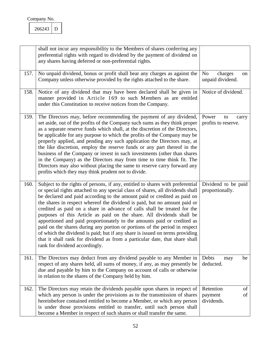<span id="page-52-2"></span><span id="page-52-1"></span><span id="page-52-0"></span>266243 D

<span id="page-52-5"></span><span id="page-52-4"></span><span id="page-52-3"></span>

|      | shall not incur any responsibility to the Members of shares conferring any<br>preferential rights with regard to dividend by the payment of dividend on<br>any shares having deferred or non-preferential rights.                                                                                                                                                                                                                                                                                                                                                                                                                                                                                                                                                                                                                        |                                                     |
|------|------------------------------------------------------------------------------------------------------------------------------------------------------------------------------------------------------------------------------------------------------------------------------------------------------------------------------------------------------------------------------------------------------------------------------------------------------------------------------------------------------------------------------------------------------------------------------------------------------------------------------------------------------------------------------------------------------------------------------------------------------------------------------------------------------------------------------------------|-----------------------------------------------------|
| 157. | No unpaid dividend, bonus or profit shall bear any charges as against the<br>Company unless otherwise provided by the rights attached to the share.                                                                                                                                                                                                                                                                                                                                                                                                                                                                                                                                                                                                                                                                                      | N <sub>o</sub><br>charges<br>on<br>unpaid dividend. |
| 158. | Notice of any dividend that may have been declared shall be given in<br>manner provided in Article 169 to such Members as are entitled<br>under this Constitution to receive notices from the Company.                                                                                                                                                                                                                                                                                                                                                                                                                                                                                                                                                                                                                                   | Notice of dividend.                                 |
| 159. | The Directors may, before recommending the payment of any dividend,<br>set aside, out of the profits of the Company such sums as they think proper<br>as a separate reserve funds which shall, at the discretion of the Directors,<br>be applicable for any purpose to which the profits of the Company may be<br>properly applied, and pending any such application the Directors may, at<br>the like discretion, employ the reserve funds or any part thereof in the<br>business of the Company or invest in such investments (other than shares<br>in the Company) as the Directors may from time to time think fit. The<br>Directors may also without placing the same to reserve carry forward any<br>profits which they may think prudent not to divide.                                                                           | Power<br>to<br>carry<br>profits to reserve.         |
| 160. | Subject to the rights of persons, if any, entitled to shares with preferential<br>or special rights attached to any special class of shares, all dividends shall<br>be declared and paid according to the amount paid or credited as paid on<br>the shares in respect whereof the dividend is paid, but no amount paid or<br>credited as paid on a share in advance of calls shall be treated for the<br>purposes of this Article as paid on the share. All dividends shall be<br>apportioned and paid proportionately to the amounts paid or credited as<br>paid on the shares during any portion or portions of the period in respect<br>of which the dividend is paid; but if any share is issued on terms providing<br>that it shall rank for dividend as from a particular date, that share shall<br>rank for dividend accordingly. | Dividend to be paid<br>proportionally.              |
| 161. | The Directors may deduct from any dividend payable to any Member in<br>respect of any shares held, all sums of money, if any, as may presently be<br>due and payable by him to the Company on account of calls or otherwise<br>in relation to the shares of the Company held by him.                                                                                                                                                                                                                                                                                                                                                                                                                                                                                                                                                     | Debts<br>be<br>may<br>deducted.                     |
| 162. | The Directors may retain the dividends payable upon shares in respect of<br>which any person is under the provisions as to the transmission of shares<br>hereinbefore contained entitled to become a Member, or which any person<br>is under those provisions entitled to transfer, until such person shall<br>become a Member in respect of such shares or shall transfer the same.                                                                                                                                                                                                                                                                                                                                                                                                                                                     | Retention<br>of<br>of<br>payment<br>dividends.      |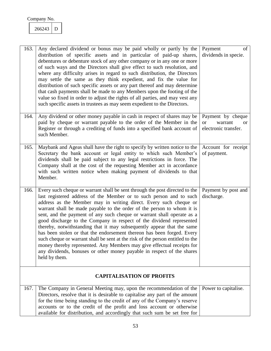<span id="page-53-2"></span><span id="page-53-1"></span><span id="page-53-0"></span>266243 D

<span id="page-53-5"></span><span id="page-53-4"></span><span id="page-53-3"></span>

| 163. | Any declared dividend or bonus may be paid wholly or partly by the<br>distribution of specific assets and in particular of paid-up shares,<br>debentures or debenture stock of any other company or in any one or more<br>of such ways and the Directors shall give effect to such resolution, and<br>where any difficulty arises in regard to such distribution, the Directors<br>may settle the same as they think expedient, and fix the value for<br>distribution of such specific assets or any part thereof and may determine<br>that cash payments shall be made to any Members upon the footing of the<br>value so fixed in order to adjust the rights of all parties, and may vest any<br>such specific assets in trustees as may seem expedient to the Directors.                                                                                    | Payment<br>of<br>dividends in specie.                                              |
|------|----------------------------------------------------------------------------------------------------------------------------------------------------------------------------------------------------------------------------------------------------------------------------------------------------------------------------------------------------------------------------------------------------------------------------------------------------------------------------------------------------------------------------------------------------------------------------------------------------------------------------------------------------------------------------------------------------------------------------------------------------------------------------------------------------------------------------------------------------------------|------------------------------------------------------------------------------------|
| 164. | Any dividend or other money payable in cash in respect of shares may be<br>paid by cheque or warrant payable to the order of the Member in the<br>Register or through a crediting of funds into a specified bank account of<br>such Member.                                                                                                                                                                                                                                                                                                                                                                                                                                                                                                                                                                                                                    | Payment by cheque<br>warrant<br><b>or</b><br><sub>or</sub><br>electronic transfer. |
| 165. | Maybank and Ageas shall have the right to specify by written notice to the<br>Secretary the bank account or legal entity to which such Member's<br>dividends shall be paid subject to any legal restrictions in force. The<br>Company shall at the cost of the requesting Member act in accordance<br>with such written notice when making payment of dividends to that<br>Member.                                                                                                                                                                                                                                                                                                                                                                                                                                                                             | Account for receipt<br>of payment.                                                 |
| 166. | Every such cheque or warrant shall be sent through the post directed to the<br>last registered address of the Member or to such person and to such<br>address as the Member may in writing direct. Every such cheque or<br>warrant shall be made payable to the order of the person to whom it is<br>sent, and the payment of any such cheque or warrant shall operate as a<br>good discharge to the Company in respect of the dividend represented<br>thereby, notwithstanding that it may subsequently appear that the same<br>has been stolen or that the endorsement thereon has been forged. Every<br>such cheque or warrant shall be sent at the risk of the person entitled to the<br>money thereby represented. Any Members may give effectual receipts for<br>any dividends, bonuses or other money payable in respect of the shares<br>held by them. | Payment by post and<br>discharge.                                                  |
|      | <b>CAPITALISATION OF PROFITS</b>                                                                                                                                                                                                                                                                                                                                                                                                                                                                                                                                                                                                                                                                                                                                                                                                                               |                                                                                    |
| 167. | The Company in General Meeting may, upon the recommendation of the<br>Directors, resolve that it is desirable to capitalise any part of the amount<br>for the time being standing to the credit of any of the Company's reserve<br>accounts or to the credit of the profit and loss account or otherwise<br>available for distribution, and accordingly that such sum be set free for                                                                                                                                                                                                                                                                                                                                                                                                                                                                          | Power to capitalise.                                                               |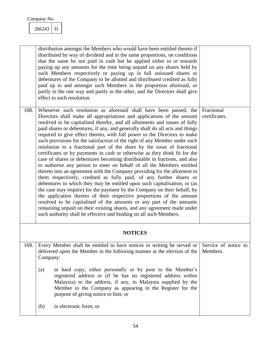<span id="page-54-0"></span>266243 D

<span id="page-54-2"></span><span id="page-54-1"></span>

|      | distribution amongst the Members who would have been entitled thereto if<br>distributed by way of dividend and in the same proportions, on conditions<br>that the same be not paid in cash but be applied either in or towards<br>paying up any amounts for the time being unpaid on any shares held by<br>such Members respectively or paying up in full unissued shares or<br>debentures of the Company to be allotted and distributed credited as fully<br>paid up to and amongst such Members in the proportion aforesaid, or<br>partly in the one way and partly in the other, and the Directors shall give<br>effect to such resolution.                                                                                                                                                                                                                                                                                                                                                                                                                                                                                                                                                                                                                                                                                                                                                        |                                  |
|------|-------------------------------------------------------------------------------------------------------------------------------------------------------------------------------------------------------------------------------------------------------------------------------------------------------------------------------------------------------------------------------------------------------------------------------------------------------------------------------------------------------------------------------------------------------------------------------------------------------------------------------------------------------------------------------------------------------------------------------------------------------------------------------------------------------------------------------------------------------------------------------------------------------------------------------------------------------------------------------------------------------------------------------------------------------------------------------------------------------------------------------------------------------------------------------------------------------------------------------------------------------------------------------------------------------------------------------------------------------------------------------------------------------|----------------------------------|
| 168. | Whenever such resolution as aforesaid shall have been passed, the<br>Directors shall make all appropriations and applications of the amount<br>resolved to be capitalised thereby, and all allotments and issues of fully<br>paid shares or debentures, if any, and generally shall do all acts and things<br>required to give effect thereto, with full power to the Directors to make<br>such provisions for the satisfaction of the right of any Member under such<br>resolution to a fractional part of the share by the issue of fractional<br>certificates or by payments in cash or otherwise as they think fit for the<br>case of shares or debentures becoming distributable in fractions, and also<br>to authorise any person to enter on behalf of all the Members entitled<br>thereto into an agreement with the Company providing for the allotment to<br>them respectively, credited as fully paid, of any further shares or<br>debentures to which they may be entitled upon such capitalisation, or (as<br>the case may require) for the payment by the Company on their behalf, by<br>the application thereto of their respective proportions of the amount<br>resolved to be capitalised of the amounts or any part of the amounts<br>remaining unpaid on their existing shares, and any agreement made under<br>such authority shall be effective and binding on all such Members. | Fractional<br>certificates.      |
|      | <b>NOTICES</b>                                                                                                                                                                                                                                                                                                                                                                                                                                                                                                                                                                                                                                                                                                                                                                                                                                                                                                                                                                                                                                                                                                                                                                                                                                                                                                                                                                                        |                                  |
| 169. | Every Member shall be entitled to have notices in writing be served or<br>delivered upon the Member in the following manner at the election of the<br>Company:                                                                                                                                                                                                                                                                                                                                                                                                                                                                                                                                                                                                                                                                                                                                                                                                                                                                                                                                                                                                                                                                                                                                                                                                                                        | Service of notice to<br>Members. |
|      | in hard copy, either personally or by post to the Member's<br>(a)<br>registered address or (if he has no registered address within<br>Malaysia) to the address, if any, in Malaysia supplied by the<br>Member to the Company as appearing in the Register for the<br>purpose of giving notice to him; or                                                                                                                                                                                                                                                                                                                                                                                                                                                                                                                                                                                                                                                                                                                                                                                                                                                                                                                                                                                                                                                                                              |                                  |
|      | in electronic form; or<br>(b)                                                                                                                                                                                                                                                                                                                                                                                                                                                                                                                                                                                                                                                                                                                                                                                                                                                                                                                                                                                                                                                                                                                                                                                                                                                                                                                                                                         |                                  |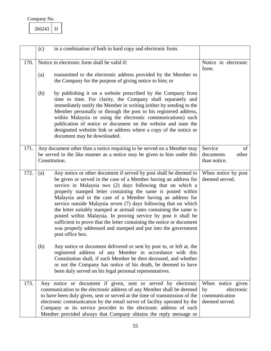<span id="page-55-3"></span><span id="page-55-2"></span><span id="page-55-1"></span><span id="page-55-0"></span>

|      | (c) | in a combination of both in hard copy and electronic form.                                                                                                                                                                                                                                                                                                                                                                                                                                                                                                                                                                                                                                                   |                                                                          |
|------|-----|--------------------------------------------------------------------------------------------------------------------------------------------------------------------------------------------------------------------------------------------------------------------------------------------------------------------------------------------------------------------------------------------------------------------------------------------------------------------------------------------------------------------------------------------------------------------------------------------------------------------------------------------------------------------------------------------------------------|--------------------------------------------------------------------------|
| 170. |     | Notice in electronic form shall be valid if:                                                                                                                                                                                                                                                                                                                                                                                                                                                                                                                                                                                                                                                                 | Notice in electronic<br>form.                                            |
|      | (a) | transmitted to the electronic address provided by the Member to<br>the Company for the purpose of giving notice to him; or                                                                                                                                                                                                                                                                                                                                                                                                                                                                                                                                                                                   |                                                                          |
|      | (b) | by publishing it on a website prescribed by the Company from<br>time to time. For clarity, the Company shall separately and<br>immediately notify the Member in writing (either by sending to the<br>Member personally or through the post to his registered address,<br>within Malaysia or using the electronic communications) such<br>publication of notice or document on the website and state the<br>designated webstite link or address where a copy of the notice or<br>document may be downloaded.                                                                                                                                                                                                  |                                                                          |
| 171. |     | Any document other than a notice requiring to be served on a Member may<br>be served in the like manner as a notice may be given to him under this<br>Constitution.                                                                                                                                                                                                                                                                                                                                                                                                                                                                                                                                          | Service<br>of<br>other<br>documents<br>than notice.                      |
| 172. | (a) | Any notice or other document if served by post shall be deemed to<br>be given or served in the case of a Member having an address for<br>service in Malaysia two (2) days following that on which a<br>properly stamped letter containing the same is posted within<br>Malaysia and in the case of a Member having an address for<br>service outside Malaysia seven (7) days following that on which<br>the letter suitably stamped at airmail rates containing the same is<br>posted within Malaysia. In proving service by post it shall be<br>sufficient to prove that the letter containing the notice or document<br>was properly addressed and stamped and put into the government<br>post office box. | When notice by post<br>deemed served.                                    |
|      | (b) | Any notice or document delivered or sent by post to, or left at, the<br>registered address of any Member in accordance with this<br>Constitution shall, if such Member be then deceased, and whether<br>or not the Company has notice of his death, be deemed to have<br>been duly served on his legal personal representatives.                                                                                                                                                                                                                                                                                                                                                                             |                                                                          |
| 173. |     | Any notice or document if given, sent or served by electronic<br>communication to the electronic address of any Member shall be deemed<br>to have been duly given, sent or served at the time of transmission of the<br>electronic communication by the email server of facility operated by the<br>Company or its service provider to the electronic address of such<br>Member provided always that Company obtains the reply message or                                                                                                                                                                                                                                                                    | When notice given<br>electronic<br>by<br>communication<br>deemed served. |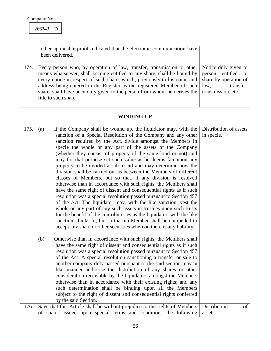| Company No. |  |
|-------------|--|
|             |  |

<span id="page-56-2"></span><span id="page-56-0"></span>

| 266243 |  |
|--------|--|
|        |  |

<span id="page-56-3"></span><span id="page-56-1"></span>

|      | other applicable proof indicated that the electronic communication have<br>been delivered.                                                                                                                                                                                                                                                                                                                                                                                                                                                                                                                                                                                                                                                                                                                                                                                                                                                                                                                                                                                                                                                                                                                                                                                                                                                                                                                                                                                                                                                                                                                                                                                                                                                                                                                                                                                                            |                                                                                                                |
|------|-------------------------------------------------------------------------------------------------------------------------------------------------------------------------------------------------------------------------------------------------------------------------------------------------------------------------------------------------------------------------------------------------------------------------------------------------------------------------------------------------------------------------------------------------------------------------------------------------------------------------------------------------------------------------------------------------------------------------------------------------------------------------------------------------------------------------------------------------------------------------------------------------------------------------------------------------------------------------------------------------------------------------------------------------------------------------------------------------------------------------------------------------------------------------------------------------------------------------------------------------------------------------------------------------------------------------------------------------------------------------------------------------------------------------------------------------------------------------------------------------------------------------------------------------------------------------------------------------------------------------------------------------------------------------------------------------------------------------------------------------------------------------------------------------------------------------------------------------------------------------------------------------------|----------------------------------------------------------------------------------------------------------------|
| 174. | Every person who, by operation of law, transfer, transmission or other<br>means whatsoever, shall become entitled to any share, shall be bound by<br>every notice in respect of such share, which, previously to his name and<br>address being entered in the Register as the registered Member of such<br>share, shall have been duly given to the person from whom he derives the<br>title to such share.                                                                                                                                                                                                                                                                                                                                                                                                                                                                                                                                                                                                                                                                                                                                                                                                                                                                                                                                                                                                                                                                                                                                                                                                                                                                                                                                                                                                                                                                                           | Notice duly given to<br>person entitled to<br>share by operation of<br>transfer,<br>law,<br>transmission, etc. |
|      | <b>WINDING-UP</b>                                                                                                                                                                                                                                                                                                                                                                                                                                                                                                                                                                                                                                                                                                                                                                                                                                                                                                                                                                                                                                                                                                                                                                                                                                                                                                                                                                                                                                                                                                                                                                                                                                                                                                                                                                                                                                                                                     |                                                                                                                |
| 175. | If the Company shall be wound up, the liquidator may, with the<br>(a)<br>sanction of a Special Resolution of the Company and any other<br>sanction required by the Act, divide amongst the Members in<br>specie the whole or any part of the assets of the Company<br>(whether they consist of property of the same kind or not) and<br>may for that purpose set such value as he deems fair upon any<br>property to be divided as aforesaid and may determine how the<br>division shall be carried out as between the Members of different<br>classes of Members, but so that, if any division is resolved<br>otherwise than in accordance with such rights, the Members shall<br>have the same right of dissent and consequential rights as if such<br>resolution was a special resolution passed pursuant to Section 457<br>of the Act. The liquidator may, with the like sanction, vest the<br>whole or any part of any such assets in trustees upon such trusts<br>for the benefit of the contributories as the liquidator, with the like<br>sanction, thinks fit, but so that no Member shall be compelled to<br>accept any share or other securities whereon there is any liability.<br>Otherwise than in accordance with such rights, the Members shall<br>(b)<br>have the same right of dissent and consequential rights as if such<br>resolution was a special resolution passed pursuant to Section 457<br>of the Act. A special resolution sanctioning a transfer or sale to<br>another company duly passed pursuant to the said section may in<br>like manner authorise the distribution of any shares or other<br>consideration receivable by the liquidators amongst the Members<br>otherwise than in accordance with their existing rights; and any<br>such determination shall be binding upon all the Members<br>subject to the right of dissent and consequential rights conferred | Distribution of assets<br>in specie.                                                                           |
| 176. | by the said Section.<br>Save that this Article shall be without prejudice to the rights of Members<br>of shares issued upon special terms and conditions the following                                                                                                                                                                                                                                                                                                                                                                                                                                                                                                                                                                                                                                                                                                                                                                                                                                                                                                                                                                                                                                                                                                                                                                                                                                                                                                                                                                                                                                                                                                                                                                                                                                                                                                                                | Distribution<br>of<br>assets.                                                                                  |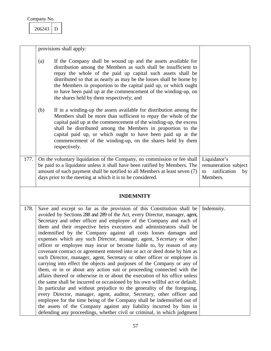$266243$  D

<span id="page-57-2"></span><span id="page-57-1"></span><span id="page-57-0"></span>

|      |     | provisions shall apply:                                                                                                                                                                                                                                                                                                                                                                                                                                                                                                                                                                                                                                                                                                                                                                                                                                                                                                                                                                                                                                                                                                                                                                                                                                                                                                                                                         |                                                                              |
|------|-----|---------------------------------------------------------------------------------------------------------------------------------------------------------------------------------------------------------------------------------------------------------------------------------------------------------------------------------------------------------------------------------------------------------------------------------------------------------------------------------------------------------------------------------------------------------------------------------------------------------------------------------------------------------------------------------------------------------------------------------------------------------------------------------------------------------------------------------------------------------------------------------------------------------------------------------------------------------------------------------------------------------------------------------------------------------------------------------------------------------------------------------------------------------------------------------------------------------------------------------------------------------------------------------------------------------------------------------------------------------------------------------|------------------------------------------------------------------------------|
|      | (a) | If the Company shall be wound up and the assets available for<br>distribution among the Members as such shall be insufficient to<br>repay the whole of the paid up capital such assets shall be<br>distributed so that as nearly as may be the losses shall be borne by<br>the Members in proportion to the capital paid up, or which ought<br>to have been paid up at the commencement of the winding-up, on<br>the shares held by them respectively; and                                                                                                                                                                                                                                                                                                                                                                                                                                                                                                                                                                                                                                                                                                                                                                                                                                                                                                                      |                                                                              |
|      | (b) | If in a winding-up the assets available for distribution among the<br>Members shall be more than sufficient to repay the whole of the<br>capital paid up at the commencement of the winding-up, the excess<br>shall be distributed among the Members in proportion to the<br>capital paid up, or which ought to have been paid up at the<br>commencement of the winding-up, on the shares held by them<br>respectively.                                                                                                                                                                                                                                                                                                                                                                                                                                                                                                                                                                                                                                                                                                                                                                                                                                                                                                                                                         |                                                                              |
| 177. |     | On the voluntary liquidation of the Company, no commission or fee shall<br>be paid to a liquidator unless it shall have been ratified by Members. The<br>amount of such payment shall be notified to all Members at least seven (7)<br>days prior to the meeting at which it is to be considered.                                                                                                                                                                                                                                                                                                                                                                                                                                                                                                                                                                                                                                                                                                                                                                                                                                                                                                                                                                                                                                                                               | Liquidator's<br>remuneration subject<br>ratification<br>to<br>by<br>Members. |
|      |     | <b>INDEMNITY</b>                                                                                                                                                                                                                                                                                                                                                                                                                                                                                                                                                                                                                                                                                                                                                                                                                                                                                                                                                                                                                                                                                                                                                                                                                                                                                                                                                                |                                                                              |
| 178. |     | Save and except so far as the provision of this Constitution shall be<br>avoided by Sections 288 and 289 of the Act, every Director, manager, agent,<br>Secretary and other officer and employee of the Company and each of<br>them and their respective heirs executors and administrators shall be<br>indemnified by the Company against all costs losses damages and<br>expenses which any such Director, manager, agent, Secretary or other<br>officer or employee may incur or become liable to, by reason of any<br>covenant contract or agreement entered into or act or deed done by him as<br>such Director, manager, agent, Secretary or other officer or employee in<br>carrying into effect the objects and purposes of the Company or any of<br>them, or in or about any action suit or proceeding connected with the<br>affairs thereof or otherwise in or about the execution of his office unless<br>the same shall be incurred or occasioned by his own willful act or default.<br>In particular and without prejudice to the generality of the foregoing,<br>every Director, manager, agent, auditor, Secretary, other officer and<br>employee for the time being of the Company shall be indemnified out of<br>the assets of the Company against any liability incurred by him in<br>defending any proceedings, whether civil or criminal, in which judgment | Indemnity.                                                                   |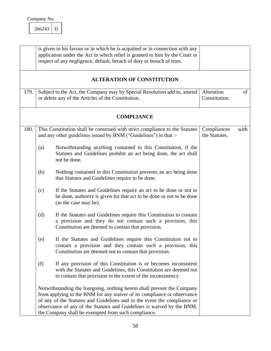<span id="page-58-3"></span><span id="page-58-1"></span>266243 D

<span id="page-58-2"></span><span id="page-58-0"></span>

|      |     | is given in his favour or in which he is acquitted or in connection with any<br>application under the Act in which relief is granted to him by the Court in<br>respect of any negligence, default, breach of duty or breach of trust.                                                                                                                           |                              |      |
|------|-----|-----------------------------------------------------------------------------------------------------------------------------------------------------------------------------------------------------------------------------------------------------------------------------------------------------------------------------------------------------------------|------------------------------|------|
|      |     | <b>ALTERATION OF CONSTITUTION</b>                                                                                                                                                                                                                                                                                                                               |                              |      |
| 179. |     | Subject to the Act, the Company may by Special Resolution add to, amend<br>or delete any of the Articles of the Constitution.                                                                                                                                                                                                                                   | Alteration<br>Constitution.  | of   |
|      |     | <b>COMPLIANCE</b>                                                                                                                                                                                                                                                                                                                                               |                              |      |
| 180. |     | This Constitution shall be construed with strict compliance to the Statutes<br>and any other guidelines issued by BNM ("Guidelines") in that :-                                                                                                                                                                                                                 | Compliances<br>the Statutes. | with |
|      | (a) | Notwithstanding anything contained in this Constitution, if the<br>Statutes and Guidelines prohibit an act being done, the act shall<br>not be done.                                                                                                                                                                                                            |                              |      |
|      | (b) | Nothing contained in this Constitution prevents an act being done<br>that Statutes and Guidelines require to be done.                                                                                                                                                                                                                                           |                              |      |
|      | (c) | If the Statutes and Guidelines require an act to be done or not to<br>be done, authority is given for that act to be done or not to be done<br>(as the case may be).                                                                                                                                                                                            |                              |      |
|      | (d) | If the Statutes and Guidelines require this Constitution to contain<br>a provision and they do not contain such a provision, this<br>Constitution are deemed to contain that provision.                                                                                                                                                                         |                              |      |
|      | (e) | If the Statutes and Guidelines require this Constitution not to<br>contain a provision and they contain such a provision, this<br>Constitution are deemed not to contain that provision.                                                                                                                                                                        |                              |      |
|      | (f) | If any provision of this Constitution is or becomes inconsistent<br>with the Statutes and Guidelines, this Constitution are deemed not<br>to contain that provision to the extent of the inconsistency.                                                                                                                                                         |                              |      |
|      |     | Notwithstanding the foregoing, nothing herein shall prevent the Company<br>from applying to the BNM for any waiver of its compliance or observance<br>of any of the Statutes and Guidelines and in the event the compliance or<br>observance of any of the Statutes and Guidelines is waived by the BNM,<br>the Company shall be exempted from such compliance. |                              |      |